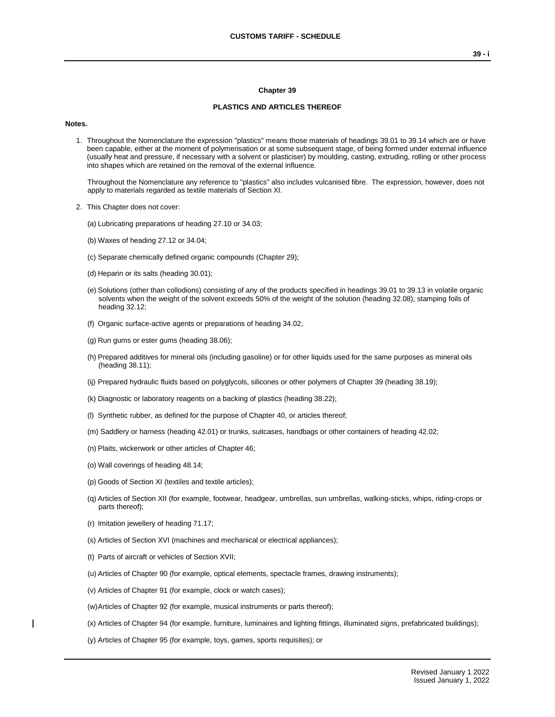#### **Chapter 39**

### **PLASTICS AND ARTICLES THEREOF**

#### **Notes.**

1. Throughout the Nomenclature the expression "plastics" means those materials of headings 39.01 to 39.14 which are or have been capable, either at the moment of polymerisation or at some subsequent stage, of being formed under external influence (usually heat and pressure, if necessary with a solvent or plasticiser) by moulding, casting, extruding, rolling or other process into shapes which are retained on the removal of the external influence.

Throughout the Nomenclature any reference to "plastics" also includes vulcanised fibre. The expression, however, does not apply to materials regarded as textile materials of Section XI.

- 2. This Chapter does not cover:
	- (a) Lubricating preparations of heading 27.10 or 34.03;
	- (b) Waxes of heading 27.12 or 34.04;
	- (c) Separate chemically defined organic compounds (Chapter 29);
	- (d) Heparin or its salts (heading 30.01);
	- (e) Solutions (other than collodions) consisting of any of the products specified in headings 39.01 to 39.13 in volatile organic solvents when the weight of the solvent exceeds 50% of the weight of the solution (heading 32.08); stamping foils of heading 32.12;
	- (f) Organic surface-active agents or preparations of heading 34.02;
	- (g) Run gums or ester gums (heading 38.06);
	- (h) Prepared additives for mineral oils (including gasoline) or for other liquids used for the same purposes as mineral oils (heading 38.11);
	- (ij) Prepared hydraulic fluids based on polyglycols, silicones or other polymers of Chapter 39 (heading 38.19);
	- (k) Diagnostic or laboratory reagents on a backing of plastics (heading 38.22);
	- (l) Synthetic rubber, as defined for the purpose of Chapter 40, or articles thereof;
	- (m) Saddlery or harness (heading 42.01) or trunks, suitcases, handbags or other containers of heading 42.02;
	- (n) Plaits, wickerwork or other articles of Chapter 46;
	- (o) Wall coverings of heading 48.14;
	- (p) Goods of Section XI (textiles and textile articles);
	- (q) Articles of Section XII (for example, footwear, headgear, umbrellas, sun umbrellas, walking-sticks, whips, riding-crops or parts thereof);
	- (r) Imitation jewellery of heading 71.17;
	- (s) Articles of Section XVI (machines and mechanical or electrical appliances);
	- (t) Parts of aircraft or vehicles of Section XVII;
	- (u) Articles of Chapter 90 (for example, optical elements, spectacle frames, drawing instruments);
	- (v) Articles of Chapter 91 (for example, clock or watch cases);
	- (w)Articles of Chapter 92 (for example, musical instruments or parts thereof);
	- (x) Articles of Chapter 94 (for example, furniture, luminaires and lighting fittings, illuminated signs, prefabricated buildings);
	- (y) Articles of Chapter 95 (for example, toys, games, sports requisites); or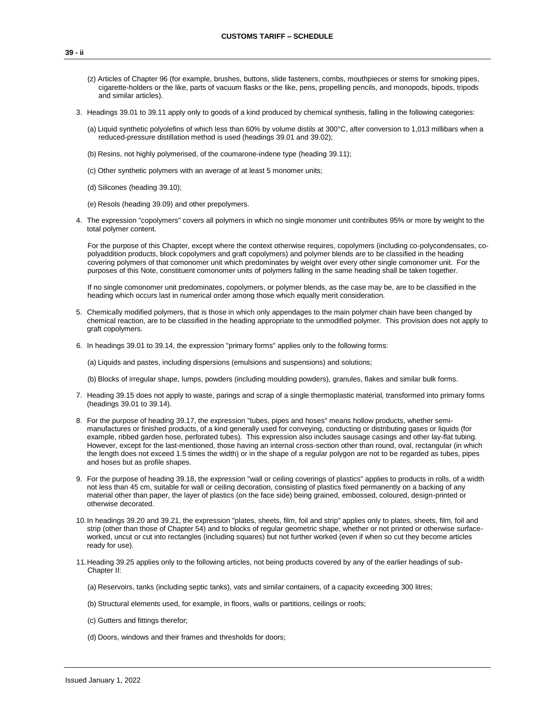- (z) Articles of Chapter 96 (for example, brushes, buttons, slide fasteners, combs, mouthpieces or stems for smoking pipes, cigarette-holders or the like, parts of vacuum flasks or the like, pens, propelling pencils, and monopods, bipods, tripods and similar articles).
- 3. Headings 39.01 to 39.11 apply only to goods of a kind produced by chemical synthesis, falling in the following categories:
	- (a) Liquid synthetic polyolefins of which less than 60% by volume distils at 300°C, after conversion to 1,013 millibars when a reduced-pressure distillation method is used (headings 39.01 and 39.02);
	- (b) Resins, not highly polymerised, of the coumarone-indene type (heading 39.11);
	- (c) Other synthetic polymers with an average of at least 5 monomer units;
	- (d) Silicones (heading 39.10);
	- (e) Resols (heading 39.09) and other prepolymers.
- 4. The expression "copolymers" covers all polymers in which no single monomer unit contributes 95% or more by weight to the total polymer content.

For the purpose of this Chapter, except where the context otherwise requires, copolymers (including co-polycondensates, copolyaddition products, block copolymers and graft copolymers) and polymer blends are to be classified in the heading covering polymers of that comonomer unit which predominates by weight over every other single comonomer unit. For the purposes of this Note, constituent comonomer units of polymers falling in the same heading shall be taken together.

If no single comonomer unit predominates, copolymers, or polymer blends, as the case may be, are to be classified in the heading which occurs last in numerical order among those which equally merit consideration.

- 5. Chemically modified polymers, that is those in which only appendages to the main polymer chain have been changed by chemical reaction, are to be classified in the heading appropriate to the unmodified polymer. This provision does not apply to graft copolymers.
- 6. In headings 39.01 to 39.14, the expression "primary forms" applies only to the following forms:

(a) Liquids and pastes, including dispersions (emulsions and suspensions) and solutions;

(b) Blocks of irregular shape, lumps, powders (including moulding powders), granules, flakes and similar bulk forms.

- 7. Heading 39.15 does not apply to waste, parings and scrap of a single thermoplastic material, transformed into primary forms (headings 39.01 to 39.14).
- 8. For the purpose of heading 39.17, the expression "tubes, pipes and hoses" means hollow products, whether semimanufactures or finished products, of a kind generally used for conveying, conducting or distributing gases or liquids (for example, ribbed garden hose, perforated tubes). This expression also includes sausage casings and other lay-flat tubing. However, except for the last-mentioned, those having an internal cross-section other than round, oval, rectangular (in which the length does not exceed 1.5 times the width) or in the shape of a regular polygon are not to be regarded as tubes, pipes and hoses but as profile shapes.
- 9. For the purpose of heading 39.18, the expression "wall or ceiling coverings of plastics" applies to products in rolls, of a width not less than 45 cm, suitable for wall or ceiling decoration, consisting of plastics fixed permanently on a backing of any material other than paper, the layer of plastics (on the face side) being grained, embossed, coloured, design-printed or otherwise decorated.
- 10.In headings 39.20 and 39.21, the expression "plates, sheets, film, foil and strip" applies only to plates, sheets, film, foil and strip (other than those of Chapter 54) and to blocks of regular geometric shape, whether or not printed or otherwise surfaceworked, uncut or cut into rectangles (including squares) but not further worked (even if when so cut they become articles ready for use).
- 11.Heading 39.25 applies only to the following articles, not being products covered by any of the earlier headings of sub-Chapter II:
	- (a) Reservoirs, tanks (including septic tanks), vats and similar containers, of a capacity exceeding 300 litres;
	- (b) Structural elements used, for example, in floors, walls or partitions, ceilings or roofs;
	- (c) Gutters and fittings therefor;
	- (d) Doors, windows and their frames and thresholds for doors;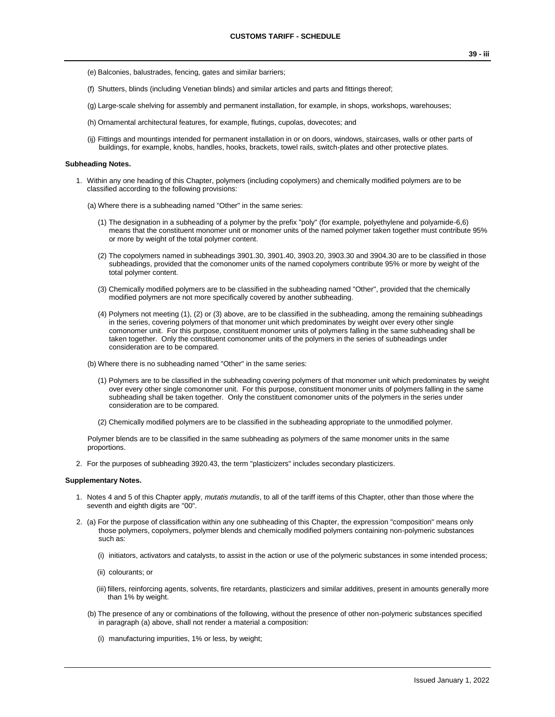- (e) Balconies, balustrades, fencing, gates and similar barriers;
- (f) Shutters, blinds (including Venetian blinds) and similar articles and parts and fittings thereof;
- (g) Large-scale shelving for assembly and permanent installation, for example, in shops, workshops, warehouses;
- (h) Ornamental architectural features, for example, flutings, cupolas, dovecotes; and
- (ij) Fittings and mountings intended for permanent installation in or on doors, windows, staircases, walls or other parts of buildings, for example, knobs, handles, hooks, brackets, towel rails, switch-plates and other protective plates.

#### **Subheading Notes.**

- 1. Within any one heading of this Chapter, polymers (including copolymers) and chemically modified polymers are to be classified according to the following provisions:
	- (a) Where there is a subheading named "Other" in the same series:
		- (1) The designation in a subheading of a polymer by the prefix "poly" (for example, polyethylene and polyamide-6,6) means that the constituent monomer unit or monomer units of the named polymer taken together must contribute 95% or more by weight of the total polymer content.
		- (2) The copolymers named in subheadings 3901.30, 3901.40, 3903.20, 3903.30 and 3904.30 are to be classified in those subheadings, provided that the comonomer units of the named copolymers contribute 95% or more by weight of the total polymer content.
		- (3) Chemically modified polymers are to be classified in the subheading named "Other", provided that the chemically modified polymers are not more specifically covered by another subheading.
		- (4) Polymers not meeting (1), (2) or (3) above, are to be classified in the subheading, among the remaining subheadings in the series, covering polymers of that monomer unit which predominates by weight over every other single comonomer unit. For this purpose, constituent monomer units of polymers falling in the same subheading shall be taken together. Only the constituent comonomer units of the polymers in the series of subheadings under consideration are to be compared.
	- (b) Where there is no subheading named "Other" in the same series:
		- (1) Polymers are to be classified in the subheading covering polymers of that monomer unit which predominates by weight over every other single comonomer unit. For this purpose, constituent monomer units of polymers falling in the same subheading shall be taken together. Only the constituent comonomer units of the polymers in the series under consideration are to be compared.
		- (2) Chemically modified polymers are to be classified in the subheading appropriate to the unmodified polymer.

Polymer blends are to be classified in the same subheading as polymers of the same monomer units in the same proportions.

2. For the purposes of subheading 3920.43, the term "plasticizers" includes secondary plasticizers.

#### **Supplementary Notes.**

- 1. Notes 4 and 5 of this Chapter apply, *mutatis mutandis*, to all of the tariff items of this Chapter, other than those where the seventh and eighth digits are "00".
- 2. (a) For the purpose of classification within any one subheading of this Chapter, the expression "composition" means only those polymers, copolymers, polymer blends and chemically modified polymers containing non-polymeric substances such as:
	- (i) initiators, activators and catalysts, to assist in the action or use of the polymeric substances in some intended process;
	- (ii) colourants; or
	- (iii) fillers, reinforcing agents, solvents, fire retardants, plasticizers and similar additives, present in amounts generally more than 1% by weight.
	- (b) The presence of any or combinations of the following, without the presence of other non-polymeric substances specified in paragraph (a) above, shall not render a material a composition:
		- (i) manufacturing impurities, 1% or less, by weight;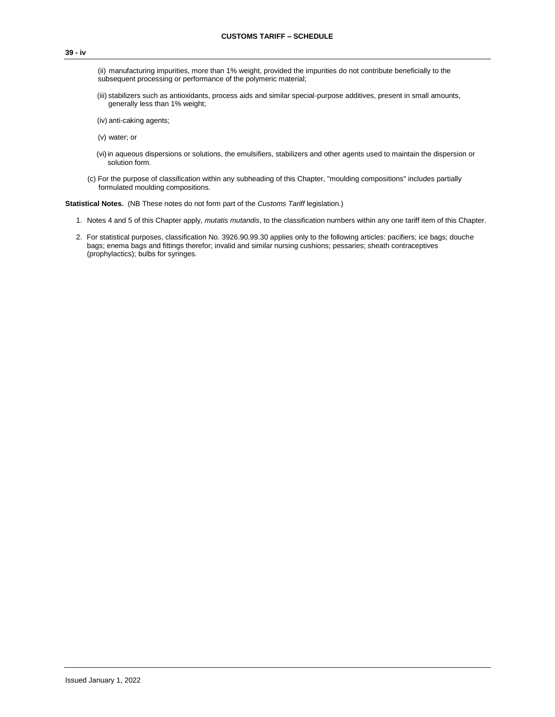(ii) manufacturing impurities, more than 1% weight, provided the impurities do not contribute beneficially to the subsequent processing or performance of the polymeric material;

(iii) stabilizers such as antioxidants, process aids and similar special-purpose additives, present in small amounts, generally less than 1% weight;

(iv) anti-caking agents;

- (v) water; or
- (vi)in aqueous dispersions or solutions, the emulsifiers, stabilizers and other agents used to maintain the dispersion or solution form.
- (c) For the purpose of classification within any subheading of this Chapter, "moulding compositions" includes partially formulated moulding compositions.

**Statistical Notes.** (NB These notes do not form part of the *Customs Tariff* legislation.)

- 1. Notes 4 and 5 of this Chapter apply, *mutatis mutandis*, to the classification numbers within any one tariff item of this Chapter.
- 2. For statistical purposes, classification No. 3926.90.99.30 applies only to the following articles: pacifiers; ice bags; douche bags; enema bags and fittings therefor; invalid and similar nursing cushions; pessaries; sheath contraceptives (prophylactics); bulbs for syringes.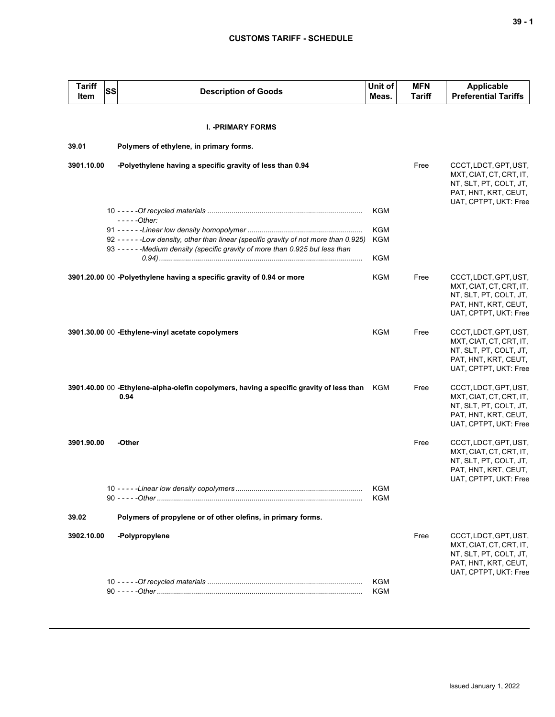### **CUSTOMS TARIFF - SCHEDULE**

| <b>Tariff</b><br>Item | SS | <b>Description of Goods</b>                                                                     | Unit of<br>Meas.         | <b>MFN</b><br><b>Tariff</b> | Applicable<br><b>Preferential Tariffs</b>                                                                                   |
|-----------------------|----|-------------------------------------------------------------------------------------------------|--------------------------|-----------------------------|-----------------------------------------------------------------------------------------------------------------------------|
|                       |    | <b>I. - PRIMARY FORMS</b>                                                                       |                          |                             |                                                                                                                             |
|                       |    |                                                                                                 |                          |                             |                                                                                                                             |
| 39.01                 |    | Polymers of ethylene, in primary forms.                                                         |                          |                             |                                                                                                                             |
| 3901.10.00            |    | -Polyethylene having a specific gravity of less than 0.94                                       |                          | Free                        | CCCT, LDCT, GPT, UST,<br>MXT, CIAT, CT, CRT, IT,<br>NT, SLT, PT, COLT, JT,<br>PAT, HNT, KRT, CEUT,<br>UAT, CPTPT, UKT: Free |
|                       |    |                                                                                                 | <b>KGM</b>               |                             |                                                                                                                             |
|                       |    | $---Other:$                                                                                     |                          |                             |                                                                                                                             |
|                       |    | 92 - - - - - - Low density, other than linear (specific gravity of not more than 0.925)         | <b>KGM</b><br>KGM        |                             |                                                                                                                             |
|                       |    | 93 - - - - - - Medium density (specific gravity of more than 0.925 but less than                |                          |                             |                                                                                                                             |
|                       |    |                                                                                                 | <b>KGM</b>               |                             |                                                                                                                             |
|                       |    | 3901.20.00 00 -Polyethylene having a specific gravity of 0.94 or more                           | KGM                      | Free                        | CCCT, LDCT, GPT, UST,<br>MXT, CIAT, CT, CRT, IT,<br>NT, SLT, PT, COLT, JT,<br>PAT, HNT, KRT, CEUT,<br>UAT, CPTPT, UKT: Free |
|                       |    | 3901.30.00 00 - Ethylene-vinyl acetate copolymers                                               | <b>KGM</b>               | Free                        | CCCT, LDCT, GPT, UST,<br>MXT, CIAT, CT, CRT, IT,<br>NT, SLT, PT, COLT, JT,<br>PAT, HNT, KRT, CEUT,<br>UAT, CPTPT, UKT: Free |
|                       |    | 3901.40.00 00 -Ethylene-alpha-olefin copolymers, having a specific gravity of less than<br>0.94 | KGM                      | Free                        | CCCT, LDCT, GPT, UST,<br>MXT, CIAT, CT, CRT, IT,<br>NT, SLT, PT, COLT, JT,<br>PAT, HNT, KRT, CEUT,<br>UAT, CPTPT, UKT: Free |
| 3901.90.00            |    | -Other                                                                                          |                          | Free                        | CCCT, LDCT, GPT, UST,<br>MXT, CIAT, CT, CRT, IT,<br>NT, SLT, PT, COLT, JT,<br>PAT, HNT, KRT, CEUT,<br>UAT, CPTPT, UKT: Free |
|                       |    |                                                                                                 | KGM<br>KGM               |                             |                                                                                                                             |
| 39.02                 |    | Polymers of propylene or of other olefins, in primary forms.                                    |                          |                             |                                                                                                                             |
| 3902.10.00            |    | -Polypropylene                                                                                  |                          | Free                        | CCCT, LDCT, GPT, UST,<br>MXT, CIAT, CT, CRT, IT,<br>NT, SLT, PT, COLT, JT,<br>PAT, HNT, KRT, CEUT,<br>UAT, CPTPT, UKT: Free |
|                       |    |                                                                                                 | <b>KGM</b><br><b>KGM</b> |                             |                                                                                                                             |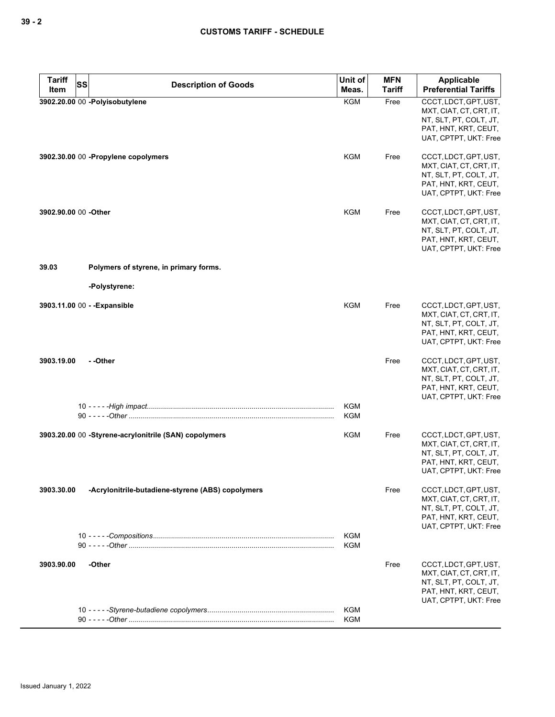| <b>Tariff</b><br>SS<br>Item | <b>Description of Goods</b>                           | Unit of<br>Meas.         | <b>MFN</b><br><b>Tariff</b> | Applicable<br><b>Preferential Tariffs</b>                                                                                   |
|-----------------------------|-------------------------------------------------------|--------------------------|-----------------------------|-----------------------------------------------------------------------------------------------------------------------------|
|                             | 3902.20.00 00 -Polyisobutylene                        | <b>KGM</b>               | Free                        | CCCT, LDCT, GPT, UST,<br>MXT, CIAT, CT, CRT, IT,<br>NT, SLT, PT, COLT, JT,<br>PAT, HNT, KRT, CEUT,<br>UAT, CPTPT, UKT: Free |
|                             | 3902.30.00 00 - Propylene copolymers                  | <b>KGM</b>               | Free                        | CCCT, LDCT, GPT, UST,<br>MXT, CIAT, CT, CRT, IT,<br>NT, SLT, PT, COLT, JT,<br>PAT, HNT, KRT, CEUT,<br>UAT, CPTPT, UKT: Free |
| 3902.90.00 00 -Other        |                                                       | <b>KGM</b>               | Free                        | CCCT, LDCT, GPT, UST,<br>MXT, CIAT, CT, CRT, IT,<br>NT, SLT, PT, COLT, JT,<br>PAT, HNT, KRT, CEUT,<br>UAT, CPTPT, UKT: Free |
| 39.03                       | Polymers of styrene, in primary forms.                |                          |                             |                                                                                                                             |
|                             | -Polystyrene:                                         |                          |                             |                                                                                                                             |
|                             | 3903.11.00 00 - - Expansible                          | <b>KGM</b>               | Free                        | CCCT, LDCT, GPT, UST,<br>MXT, CIAT, CT, CRT, IT,<br>NT, SLT, PT, COLT, JT,<br>PAT, HNT, KRT, CEUT,<br>UAT, CPTPT, UKT: Free |
| 3903.19.00                  | - -Other                                              |                          | Free                        | CCCT, LDCT, GPT, UST,<br>MXT, CIAT, CT, CRT, IT,<br>NT, SLT, PT, COLT, JT,<br>PAT, HNT, KRT, CEUT,<br>UAT, CPTPT, UKT: Free |
|                             |                                                       | KGM<br><b>KGM</b>        |                             |                                                                                                                             |
|                             | 3903.20.00 00 -Styrene-acrylonitrile (SAN) copolymers | <b>KGM</b>               | Free                        | CCCT, LDCT, GPT, UST,<br>MXT, CIAT, CT, CRT, IT,<br>NT, SLT, PT, COLT, JT,<br>PAT, HNT, KRT, CEUT,<br>UAT, CPTPT, UKT: Free |
| 3903.30.00                  | -Acrylonitrile-butadiene-styrene (ABS) copolymers     |                          | Free                        | CCCT, LDCT, GPT, UST,<br>MXT, CIAT, CT, CRT, IT,<br>NT, SLT, PT, COLT, JT,<br>PAT, HNT, KRT, CEUT,<br>UAT, CPTPT, UKT: Free |
|                             |                                                       | <b>KGM</b><br><b>KGM</b> |                             |                                                                                                                             |
| 3903.90.00                  | -Other                                                |                          | Free                        | CCCT, LDCT, GPT, UST,<br>MXT, CIAT, CT, CRT, IT,<br>NT, SLT, PT, COLT, JT,<br>PAT, HNT, KRT, CEUT,<br>UAT, CPTPT, UKT: Free |
|                             |                                                       | <b>KGM</b><br><b>KGM</b> |                             |                                                                                                                             |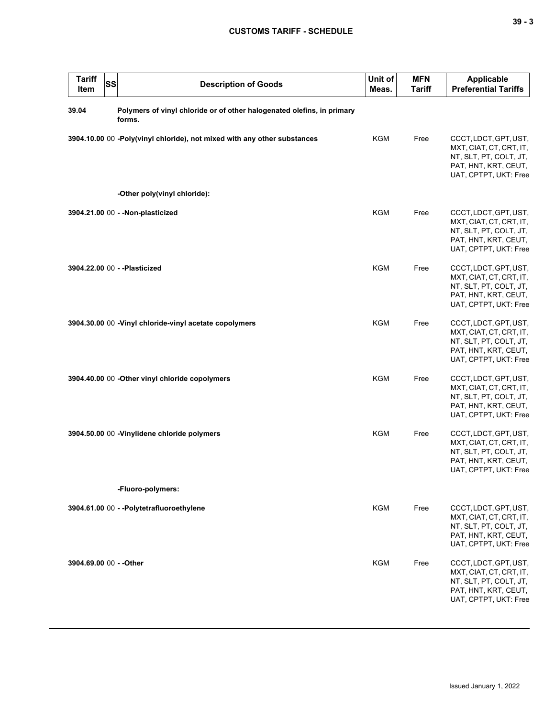| <b>Tariff</b><br>Item   | SS | <b>Description of Goods</b>                                                      | Unit of<br>Meas. | <b>MFN</b><br><b>Tariff</b> | <b>Applicable</b><br><b>Preferential Tariffs</b>                                                                            |
|-------------------------|----|----------------------------------------------------------------------------------|------------------|-----------------------------|-----------------------------------------------------------------------------------------------------------------------------|
| 39.04                   |    | Polymers of vinyl chloride or of other halogenated olefins, in primary<br>forms. |                  |                             |                                                                                                                             |
|                         |    | 3904.10.00 00 -Poly(vinyl chloride), not mixed with any other substances         | <b>KGM</b>       | Free                        | CCCT, LDCT, GPT, UST,<br>MXT, CIAT, CT, CRT, IT,<br>NT, SLT, PT, COLT, JT,<br>PAT, HNT, KRT, CEUT,<br>UAT, CPTPT, UKT: Free |
|                         |    | -Other poly(vinyl chloride):                                                     |                  |                             |                                                                                                                             |
|                         |    | 3904.21.00 00 - - Non-plasticized                                                | <b>KGM</b>       | Free                        | CCCT, LDCT, GPT, UST,<br>MXT, CIAT, CT, CRT, IT,<br>NT, SLT, PT, COLT, JT,<br>PAT, HNT, KRT, CEUT,<br>UAT, CPTPT, UKT: Free |
|                         |    | 3904.22.00 00 - - Plasticized                                                    | <b>KGM</b>       | Free                        | CCCT, LDCT, GPT, UST,<br>MXT, CIAT, CT, CRT, IT,<br>NT, SLT, PT, COLT, JT,<br>PAT, HNT, KRT, CEUT,<br>UAT, CPTPT, UKT: Free |
|                         |    | 3904.30.00 00 - Vinyl chloride-vinyl acetate copolymers                          | <b>KGM</b>       | Free                        | CCCT, LDCT, GPT, UST,<br>MXT, CIAT, CT, CRT, IT,<br>NT, SLT, PT, COLT, JT,<br>PAT, HNT, KRT, CEUT,<br>UAT, CPTPT, UKT: Free |
|                         |    | 3904.40.00 00 - Other vinyl chloride copolymers                                  | <b>KGM</b>       | Free                        | CCCT, LDCT, GPT, UST,<br>MXT, CIAT, CT, CRT, IT,<br>NT, SLT, PT, COLT, JT,<br>PAT, HNT, KRT, CEUT,<br>UAT, CPTPT, UKT: Free |
|                         |    | 3904.50.00 00 -Vinylidene chloride polymers                                      | KGM              | Free                        | CCCT, LDCT, GPT, UST,<br>MXT, CIAT, CT, CRT, IT,<br>NT, SLT, PT, COLT, JT,<br>PAT, HNT, KRT, CEUT,<br>UAT, CPTPT, UKT: Free |
|                         |    | -Fluoro-polymers:                                                                |                  |                             |                                                                                                                             |
|                         |    | 3904.61.00 00 - -Polytetrafluoroethylene                                         | KGM              | Free                        | CCCT, LDCT, GPT, UST,<br>MXT, CIAT, CT, CRT, IT,<br>NT, SLT, PT, COLT, JT,<br>PAT, HNT, KRT, CEUT,<br>UAT, CPTPT, UKT: Free |
| 3904.69.00 00 - - Other |    |                                                                                  | KGM              | Free                        | CCCT, LDCT, GPT, UST,<br>MXT, CIAT, CT, CRT, IT,<br>NT, SLT, PT, COLT, JT,<br>PAT, HNT, KRT, CEUT,<br>UAT, CPTPT, UKT: Free |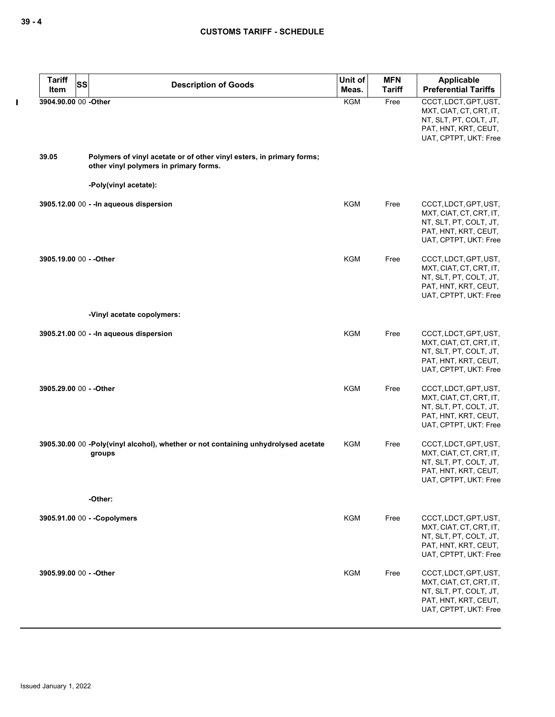$\mathbf I$ 

| <b>Tariff</b><br>Item   | <b>SS</b> | <b>Description of Goods</b>                                                                                     | Unit of<br>Meas. | <b>MFN</b><br><b>Tariff</b> | <b>Applicable</b><br><b>Preferential Tariffs</b>                                                                            |
|-------------------------|-----------|-----------------------------------------------------------------------------------------------------------------|------------------|-----------------------------|-----------------------------------------------------------------------------------------------------------------------------|
| 3904.90.00 00 -Other    |           |                                                                                                                 | <b>KGM</b>       | Free                        | CCCT, LDCT, GPT, UST,<br>MXT, CIAT, CT, CRT, IT,<br>NT, SLT, PT, COLT, JT,<br>PAT, HNT, KRT, CEUT,<br>UAT, CPTPT, UKT: Free |
| 39.05                   |           | Polymers of vinyl acetate or of other vinyl esters, in primary forms;<br>other vinyl polymers in primary forms. |                  |                             |                                                                                                                             |
|                         |           | -Poly(vinyl acetate):                                                                                           |                  |                             |                                                                                                                             |
|                         |           | 3905.12.00 00 - - In aqueous dispersion                                                                         | <b>KGM</b>       | Free                        | CCCT, LDCT, GPT, UST,<br>MXT, CIAT, CT, CRT, IT,<br>NT, SLT, PT, COLT, JT,<br>PAT, HNT, KRT, CEUT,<br>UAT, CPTPT, UKT: Free |
| 3905.19.00 00 - - Other |           |                                                                                                                 | <b>KGM</b>       | Free                        | CCCT, LDCT, GPT, UST,<br>MXT, CIAT, CT, CRT, IT,<br>NT, SLT, PT, COLT, JT,<br>PAT, HNT, KRT, CEUT,<br>UAT, CPTPT, UKT: Free |
|                         |           | -Vinyl acetate copolymers:                                                                                      |                  |                             |                                                                                                                             |
|                         |           | 3905.21.00 00 - - In aqueous dispersion                                                                         | <b>KGM</b>       | Free                        | CCCT, LDCT, GPT, UST,<br>MXT, CIAT, CT, CRT, IT,<br>NT, SLT, PT, COLT, JT,<br>PAT, HNT, KRT, CEUT,<br>UAT, CPTPT, UKT: Free |
| 3905.29.00 00 - - Other |           |                                                                                                                 | <b>KGM</b>       | Free                        | CCCT, LDCT, GPT, UST,<br>MXT, CIAT, CT, CRT, IT,<br>NT, SLT, PT, COLT, JT,<br>PAT, HNT, KRT, CEUT,<br>UAT, CPTPT, UKT: Free |
|                         |           | 3905.30.00 00 -Poly(vinyl alcohol), whether or not containing unhydrolysed acetate<br>groups                    | <b>KGM</b>       | Free                        | CCCT, LDCT, GPT, UST,<br>MXT, CIAT, CT, CRT, IT,<br>NT, SLT, PT, COLT, JT,<br>PAT, HNT, KRT, CEUT,<br>UAT, CPTPT, UKT: Free |
|                         |           | -Other:                                                                                                         |                  |                             |                                                                                                                             |
|                         |           | 3905.91.00 00 - - Copolymers                                                                                    | <b>KGM</b>       | Free                        | CCCT, LDCT, GPT, UST,<br>MXT, CIAT, CT, CRT, IT,<br>NT, SLT, PT, COLT, JT,<br>PAT, HNT, KRT, CEUT,<br>UAT, CPTPT, UKT: Free |
| 3905.99.00 00 - - Other |           |                                                                                                                 | <b>KGM</b>       | Free                        | CCCT, LDCT, GPT, UST,<br>MXT, CIAT, CT, CRT, IT,<br>NT, SLT, PT, COLT, JT,<br>PAT, HNT, KRT, CEUT,<br>UAT, CPTPT, UKT: Free |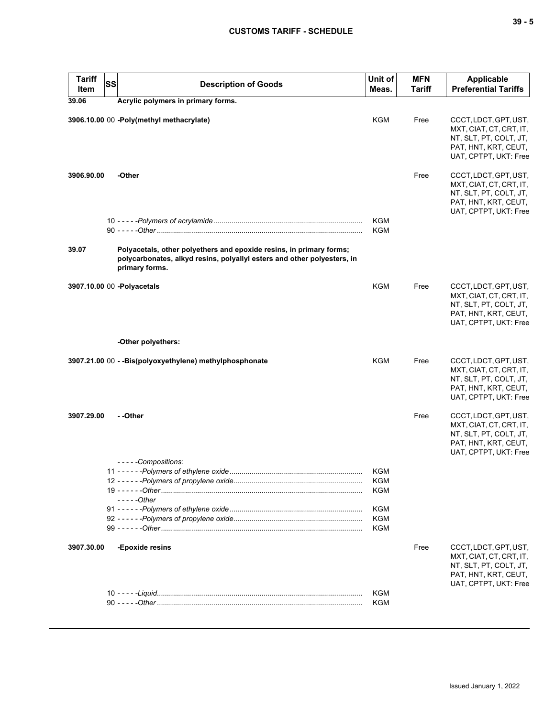| <b>Tariff</b><br>Item | <b>SS</b> | <b>Description of Goods</b>                                                                                                                                      | Unit of<br>Meas.                                                   | <b>MFN</b><br><b>Tariff</b> | <b>Applicable</b><br><b>Preferential Tariffs</b>                                                                            |
|-----------------------|-----------|------------------------------------------------------------------------------------------------------------------------------------------------------------------|--------------------------------------------------------------------|-----------------------------|-----------------------------------------------------------------------------------------------------------------------------|
| 39.06                 |           | Acrylic polymers in primary forms.                                                                                                                               |                                                                    |                             |                                                                                                                             |
|                       |           | 3906.10.00 00 -Poly(methyl methacrylate)                                                                                                                         | <b>KGM</b>                                                         | Free                        | CCCT, LDCT, GPT, UST,<br>MXT, CIAT, CT, CRT, IT,<br>NT, SLT, PT, COLT, JT,<br>PAT, HNT, KRT, CEUT,<br>UAT, CPTPT, UKT: Free |
| 3906.90.00            |           | -Other                                                                                                                                                           |                                                                    | Free                        | CCCT, LDCT, GPT, UST,<br>MXT, CIAT, CT, CRT, IT,<br>NT, SLT, PT, COLT, JT,<br>PAT, HNT, KRT, CEUT,<br>UAT, CPTPT, UKT: Free |
|                       |           |                                                                                                                                                                  | <b>KGM</b><br><b>KGM</b>                                           |                             |                                                                                                                             |
| 39.07                 |           | Polyacetals, other polyethers and epoxide resins, in primary forms;<br>polycarbonates, alkyd resins, polyallyl esters and other polyesters, in<br>primary forms. |                                                                    |                             |                                                                                                                             |
|                       |           | 3907.10.00 00 -Polyacetals                                                                                                                                       | KGM                                                                | Free                        | CCCT, LDCT, GPT, UST,<br>MXT, CIAT, CT, CRT, IT,<br>NT, SLT, PT, COLT, JT,<br>PAT, HNT, KRT, CEUT,<br>UAT, CPTPT, UKT: Free |
|                       |           | -Other polyethers:                                                                                                                                               |                                                                    |                             |                                                                                                                             |
|                       |           | 3907.21.00 00 - - Bis(polyoxyethylene) methylphosphonate                                                                                                         | <b>KGM</b>                                                         | Free                        | CCCT, LDCT, GPT, UST,<br>MXT, CIAT, CT, CRT, IT,<br>NT, SLT, PT, COLT, JT,<br>PAT, HNT, KRT, CEUT,<br>UAT, CPTPT, UKT: Free |
| 3907.29.00            |           | - -Other<br>- - - - - Compositions:                                                                                                                              |                                                                    | Free                        | CCCT, LDCT, GPT, UST,<br>MXT, CIAT, CT, CRT, IT,<br>NT, SLT, PT, COLT, JT,<br>PAT, HNT, KRT, CEUT,<br>UAT, CPTPT, UKT: Free |
|                       |           | $---Other$                                                                                                                                                       | KGM<br><b>KGM</b><br>KGM<br><b>KGM</b><br><b>KGM</b><br><b>KGM</b> |                             |                                                                                                                             |
| 3907.30.00            |           | -Epoxide resins                                                                                                                                                  |                                                                    | Free                        | CCCT, LDCT, GPT, UST,<br>MXT, CIAT, CT, CRT, IT,<br>NT, SLT, PT, COLT, JT,<br>PAT, HNT, KRT, CEUT,<br>UAT, CPTPT, UKT: Free |
|                       |           |                                                                                                                                                                  | <b>KGM</b>                                                         |                             |                                                                                                                             |
|                       |           |                                                                                                                                                                  | <b>KGM</b>                                                         |                             |                                                                                                                             |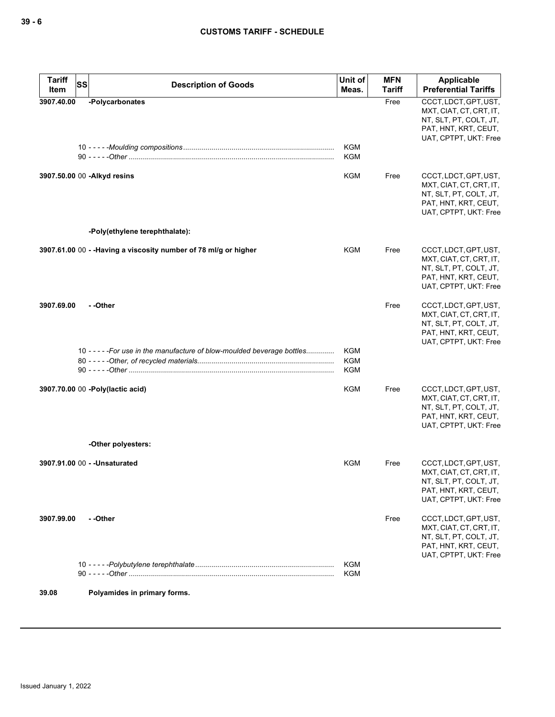| <b>Tariff</b><br>Item | <b>SS</b> | <b>Description of Goods</b>                                              | Unit of<br>Meas.  | <b>MFN</b><br><b>Tariff</b> | <b>Applicable</b><br><b>Preferential Tariffs</b>                                                                            |
|-----------------------|-----------|--------------------------------------------------------------------------|-------------------|-----------------------------|-----------------------------------------------------------------------------------------------------------------------------|
| 3907.40.00            |           | -Polycarbonates                                                          |                   | Free                        | CCCT, LDCT, GPT, UST,<br>MXT, CIAT, CT, CRT, IT,<br>NT, SLT, PT, COLT, JT,<br>PAT, HNT, KRT, CEUT,<br>UAT, CPTPT, UKT: Free |
|                       |           |                                                                          | KGM<br>KGM        |                             |                                                                                                                             |
|                       |           | 3907.50.00 00 - Alkyd resins                                             | KGM               | Free                        | CCCT, LDCT, GPT, UST,<br>MXT, CIAT, CT, CRT, IT,<br>NT, SLT, PT, COLT, JT,<br>PAT, HNT, KRT, CEUT,<br>UAT, CPTPT, UKT: Free |
|                       |           | -Poly(ethylene terephthalate):                                           |                   |                             |                                                                                                                             |
|                       |           | 3907.61.00 00 - - Having a viscosity number of 78 ml/g or higher         | KGM               | Free                        | CCCT, LDCT, GPT, UST,<br>MXT, CIAT, CT, CRT, IT,<br>NT, SLT, PT, COLT, JT,<br>PAT, HNT, KRT, CEUT,<br>UAT, CPTPT, UKT: Free |
| 3907.69.00            |           | - -Other                                                                 |                   | Free                        | CCCT, LDCT, GPT, UST,<br>MXT, CIAT, CT, CRT, IT,<br>NT, SLT, PT, COLT, JT,<br>PAT, HNT, KRT, CEUT,<br>UAT, CPTPT, UKT: Free |
|                       |           | 10 - - - - - For use in the manufacture of blow-moulded beverage bottles | KGM<br>KGM<br>KGM |                             |                                                                                                                             |
|                       |           | 3907.70.00 00 -Poly(lactic acid)                                         | <b>KGM</b>        | Free                        | CCCT, LDCT, GPT, UST,<br>MXT, CIAT, CT, CRT, IT,<br>NT, SLT, PT, COLT, JT,<br>PAT, HNT, KRT, CEUT,<br>UAT, CPTPT, UKT: Free |
|                       |           | -Other polyesters:                                                       |                   |                             |                                                                                                                             |
|                       |           | 3907.91.00 00 - - Unsaturated                                            | KGM               | Free                        | CCCT, LDCT, GPT, UST,<br>MXT, CIAT, CT, CRT, IT,<br>NT, SLT, PT, COLT, JT,<br>PAT, HNT, KRT, CEUT,<br>UAT, CPTPT, UKT: Free |
| 3907.99.00            |           | - -Other                                                                 |                   | Free                        | CCCT, LDCT, GPT, UST,<br>MXT, CIAT, CT, CRT, IT,<br>NT, SLT, PT, COLT, JT,<br>PAT, HNT, KRT, CEUT,<br>UAT, CPTPT, UKT: Free |
|                       |           |                                                                          | KGM<br>KGM        |                             |                                                                                                                             |
| 39.08                 |           | Polyamides in primary forms.                                             |                   |                             |                                                                                                                             |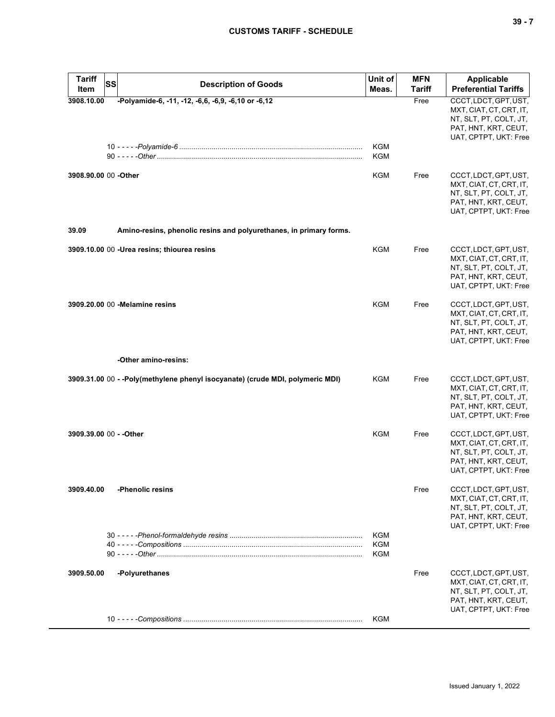| <b>Tariff</b><br>SS<br>Item | <b>Description of Goods</b>                                                   | Unit of<br>Meas.                | <b>MFN</b><br><b>Tariff</b> | <b>Applicable</b><br><b>Preferential Tariffs</b>                                                                            |
|-----------------------------|-------------------------------------------------------------------------------|---------------------------------|-----------------------------|-----------------------------------------------------------------------------------------------------------------------------|
| 3908.10.00                  | -Polyamide-6, -11, -12, -6,6, -6,9, -6,10 or -6,12                            | KGM<br>KGM                      | Free                        | CCCT, LDCT, GPT, UST,<br>MXT, CIAT, CT, CRT, IT,<br>NT, SLT, PT, COLT, JT,<br>PAT, HNT, KRT, CEUT,<br>UAT, CPTPT, UKT: Free |
| 3908.90.00 00 - Other       |                                                                               | KGM                             | Free                        | CCCT, LDCT, GPT, UST,<br>MXT, CIAT, CT, CRT, IT,<br>NT, SLT, PT, COLT, JT,<br>PAT, HNT, KRT, CEUT,<br>UAT, CPTPT, UKT: Free |
| 39.09                       | Amino-resins, phenolic resins and polyurethanes, in primary forms.            |                                 |                             |                                                                                                                             |
|                             | 3909.10.00 00 -Urea resins; thiourea resins                                   | <b>KGM</b>                      | Free                        | CCCT, LDCT, GPT, UST,<br>MXT, CIAT, CT, CRT, IT,<br>NT, SLT, PT, COLT, JT,<br>PAT, HNT, KRT, CEUT,<br>UAT, CPTPT, UKT: Free |
|                             | 3909.20.00 00 - Melamine resins                                               | KGM                             | Free                        | CCCT, LDCT, GPT, UST,<br>MXT, CIAT, CT, CRT, IT,<br>NT, SLT, PT, COLT, JT,<br>PAT, HNT, KRT, CEUT,<br>UAT, CPTPT, UKT: Free |
|                             | -Other amino-resins:                                                          |                                 |                             |                                                                                                                             |
|                             | 3909.31.00 00 - -Poly(methylene phenyl isocyanate) (crude MDI, polymeric MDI) | <b>KGM</b>                      | Free                        | CCCT, LDCT, GPT, UST,<br>MXT, CIAT, CT, CRT, IT,<br>NT, SLT, PT, COLT, JT,<br>PAT, HNT, KRT, CEUT,<br>UAT, CPTPT, UKT: Free |
| 3909.39.00 00 - - Other     |                                                                               | <b>KGM</b>                      | Free                        | CCCT, LDCT, GPT, UST,<br>MXT, CIAT, CT, CRT, IT,<br>NT, SLT, PT, COLT, JT,<br>PAT, HNT, KRT, CEUT,<br>UAT, CPTPT, UKT: Free |
| 3909.40.00                  | -Phenolic resins                                                              |                                 | Free                        | CCCT, LDCT, GPT, UST,<br>MXT, CIAT, CT, CRT, IT,<br>NT, SLT, PT, COLT, JT,<br>PAT, HNT, KRT, CEUT,<br>UAT, CPTPT, UKT: Free |
|                             |                                                                               | KGM<br><b>KGM</b><br><b>KGM</b> |                             |                                                                                                                             |
| 3909.50.00                  | -Polyurethanes                                                                |                                 | Free                        | CCCT, LDCT, GPT, UST,<br>MXT, CIAT, CT, CRT, IT,<br>NT, SLT, PT, COLT, JT,<br>PAT, HNT, KRT, CEUT,<br>UAT, CPTPT, UKT: Free |
|                             |                                                                               | <b>KGM</b>                      |                             |                                                                                                                             |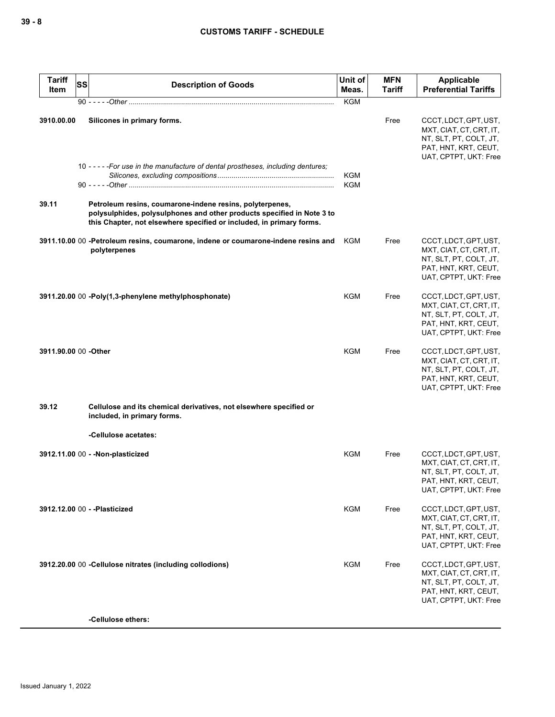| <b>Tariff</b><br>Item | SS | <b>Description of Goods</b>                                                                                                                                                                                | Unit of<br>Meas.  | <b>MFN</b><br>Tariff | <b>Applicable</b><br><b>Preferential Tariffs</b>                                                                            |
|-----------------------|----|------------------------------------------------------------------------------------------------------------------------------------------------------------------------------------------------------------|-------------------|----------------------|-----------------------------------------------------------------------------------------------------------------------------|
|                       |    |                                                                                                                                                                                                            | <b>KGM</b>        |                      |                                                                                                                             |
| 3910.00.00            |    | Silicones in primary forms.<br>10 - - - - - For use in the manufacture of dental prostheses, including dentures;                                                                                           | KGM<br><b>KGM</b> | Free                 | CCCT, LDCT, GPT, UST,<br>MXT, CIAT, CT, CRT, IT,<br>NT, SLT, PT, COLT, JT,<br>PAT, HNT, KRT, CEUT,<br>UAT, CPTPT, UKT: Free |
| 39.11                 |    | Petroleum resins, coumarone-indene resins, polyterpenes,<br>polysulphides, polysulphones and other products specified in Note 3 to<br>this Chapter, not elsewhere specified or included, in primary forms. |                   |                      |                                                                                                                             |
|                       |    | 3911.10.00 00 -Petroleum resins, coumarone, indene or coumarone-indene resins and<br>polyterpenes                                                                                                          | KGM               | Free                 | CCCT, LDCT, GPT, UST,<br>MXT, CIAT, CT, CRT, IT,<br>NT, SLT, PT, COLT, JT,<br>PAT, HNT, KRT, CEUT,<br>UAT, CPTPT, UKT: Free |
|                       |    | 3911.20.00 00 -Poly(1,3-phenylene methylphosphonate)                                                                                                                                                       | <b>KGM</b>        | Free                 | CCCT, LDCT, GPT, UST,<br>MXT, CIAT, CT, CRT, IT,<br>NT, SLT, PT, COLT, JT,<br>PAT, HNT, KRT, CEUT,<br>UAT, CPTPT, UKT: Free |
| 3911.90.00 00 -Other  |    |                                                                                                                                                                                                            | <b>KGM</b>        | Free                 | CCCT, LDCT, GPT, UST,<br>MXT, CIAT, CT, CRT, IT,<br>NT, SLT, PT, COLT, JT,<br>PAT, HNT, KRT, CEUT,<br>UAT, CPTPT, UKT: Free |
| 39.12                 |    | Cellulose and its chemical derivatives, not elsewhere specified or<br>included, in primary forms.                                                                                                          |                   |                      |                                                                                                                             |
|                       |    | -Cellulose acetates:                                                                                                                                                                                       |                   |                      |                                                                                                                             |
|                       |    | 3912.11.00 00 - - Non-plasticized                                                                                                                                                                          | KGM               | Free                 | CCCT, LDCT, GPT, UST,<br>MXT, CIAT, CT, CRT, IT,<br>NT, SLT, PT, COLT, JT,<br>PAT, HNT, KRT, CEUT,<br>UAT, CPTPT, UKT: Free |
|                       |    | 3912.12.00 00 - - Plasticized                                                                                                                                                                              | KGM               | Free                 | CCCT, LDCT, GPT, UST,<br>MXT, CIAT, CT, CRT, IT,<br>NT, SLT, PT, COLT, JT,<br>PAT, HNT, KRT, CEUT,<br>UAT, CPTPT, UKT: Free |
|                       |    | 3912.20.00 00 - Cellulose nitrates (including collodions)                                                                                                                                                  | <b>KGM</b>        | Free                 | CCCT, LDCT, GPT, UST,<br>MXT, CIAT, CT, CRT, IT,<br>NT, SLT, PT, COLT, JT,<br>PAT, HNT, KRT, CEUT,<br>UAT, CPTPT, UKT: Free |
|                       |    | -Cellulose ethers:                                                                                                                                                                                         |                   |                      |                                                                                                                             |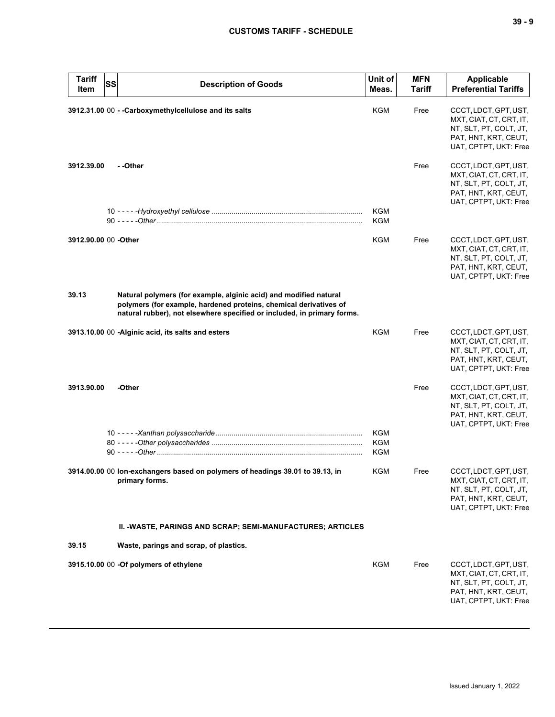| <b>Tariff</b><br>Item | <b>SS</b>                              | <b>Description of Goods</b>                                                                                                                                                                                       | Unit of<br>Meas.                       | <b>MFN</b><br><b>Tariff</b> | <b>Applicable</b><br><b>Preferential Tariffs</b>                                                                            |
|-----------------------|----------------------------------------|-------------------------------------------------------------------------------------------------------------------------------------------------------------------------------------------------------------------|----------------------------------------|-----------------------------|-----------------------------------------------------------------------------------------------------------------------------|
|                       |                                        | 3912.31.00 00 - - Carboxymethylcellulose and its salts                                                                                                                                                            | KGM                                    | Free                        | CCCT, LDCT, GPT, UST,<br>MXT, CIAT, CT, CRT, IT,<br>NT, SLT, PT, COLT, JT,<br>PAT, HNT, KRT, CEUT,<br>UAT, CPTPT, UKT: Free |
| 3912.39.00            | - -Other                               |                                                                                                                                                                                                                   |                                        | Free                        | CCCT, LDCT, GPT, UST,<br>MXT, CIAT, CT, CRT, IT,<br>NT, SLT, PT, COLT, JT,<br>PAT, HNT, KRT, CEUT,<br>UAT, CPTPT, UKT: Free |
|                       |                                        |                                                                                                                                                                                                                   | KGM<br>KGM                             |                             |                                                                                                                             |
| 3912.90.00 00 - Other |                                        |                                                                                                                                                                                                                   | KGM                                    | Free                        | CCCT, LDCT, GPT, UST,<br>MXT, CIAT, CT, CRT, IT,<br>NT, SLT, PT, COLT, JT,<br>PAT, HNT, KRT, CEUT,<br>UAT, CPTPT, UKT: Free |
| 39.13                 |                                        | Natural polymers (for example, alginic acid) and modified natural<br>polymers (for example, hardened proteins, chemical derivatives of<br>natural rubber), not elsewhere specified or included, in primary forms. |                                        |                             |                                                                                                                             |
|                       |                                        | 3913.10.00 00 -Alginic acid, its salts and esters                                                                                                                                                                 | <b>KGM</b>                             | Free                        | CCCT, LDCT, GPT, UST,<br>MXT, CIAT, CT, CRT, IT,<br>NT, SLT, PT, COLT, JT,<br>PAT, HNT, KRT, CEUT,<br>UAT, CPTPT, UKT: Free |
| 3913.90.00            | -Other                                 |                                                                                                                                                                                                                   |                                        | Free                        | CCCT, LDCT, GPT, UST,<br>MXT, CIAT, CT, CRT, IT,<br>NT, SLT, PT, COLT, JT,<br>PAT, HNT, KRT, CEUT,<br>UAT, CPTPT, UKT: Free |
|                       |                                        |                                                                                                                                                                                                                   | <b>KGM</b><br><b>KGM</b><br><b>KGM</b> |                             |                                                                                                                             |
|                       | primary forms.                         | 3914.00.00 00 lon-exchangers based on polymers of headings 39.01 to 39.13, in                                                                                                                                     | KGM                                    | Free                        | CCCT, LDCT, GPT, UST,<br>MXT, CIAT, CT, CRT, IT,<br>NT, SLT, PT, COLT, JT,<br>PAT, HNT, KRT, CEUT,<br>UAT, CPTPT, UKT: Free |
|                       |                                        | II. - WASTE, PARINGS AND SCRAP; SEMI-MANUFACTURES; ARTICLES                                                                                                                                                       |                                        |                             |                                                                                                                             |
| 39.15                 |                                        | Waste, parings and scrap, of plastics.                                                                                                                                                                            |                                        |                             |                                                                                                                             |
|                       | 3915.10.00 00 -Of polymers of ethylene |                                                                                                                                                                                                                   | <b>KGM</b>                             | Free                        | CCCT, LDCT, GPT, UST,<br>MXT, CIAT, CT, CRT, IT,<br>NT, SLT, PT, COLT, JT,<br>PAT, HNT, KRT, CEUT,<br>UAT, CPTPT, UKT: Free |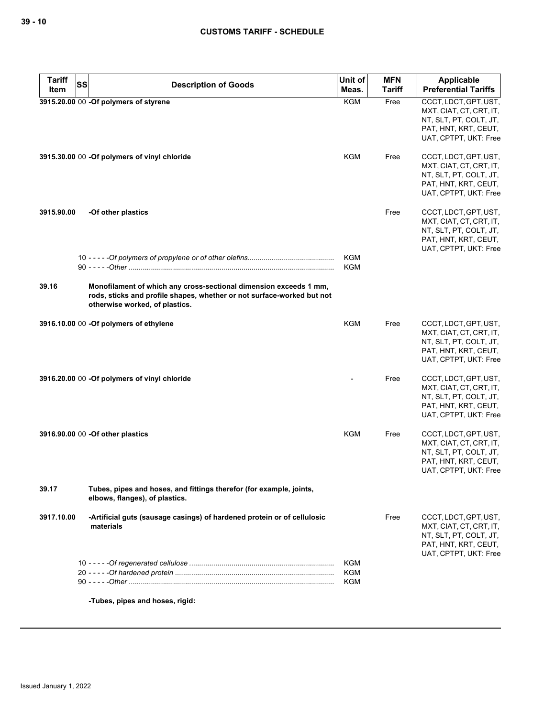| <b>Tariff</b><br>Item | <b>SS</b><br><b>Description of Goods</b>                                                                                                                                      | Unit of<br>Meas.                | <b>MFN</b><br><b>Tariff</b> | <b>Applicable</b><br><b>Preferential Tariffs</b>                                                                            |
|-----------------------|-------------------------------------------------------------------------------------------------------------------------------------------------------------------------------|---------------------------------|-----------------------------|-----------------------------------------------------------------------------------------------------------------------------|
|                       | 3915.20.00 00 -Of polymers of styrene                                                                                                                                         | <b>KGM</b>                      | Free                        | CCCT, LDCT, GPT, UST,<br>MXT, CIAT, CT, CRT, IT,<br>NT, SLT, PT, COLT, JT,<br>PAT, HNT, KRT, CEUT,<br>UAT, CPTPT, UKT: Free |
|                       | 3915.30.00 00 -Of polymers of vinyl chloride                                                                                                                                  | KGM                             | Free                        | CCCT, LDCT, GPT, UST,<br>MXT, CIAT, CT, CRT, IT,<br>NT, SLT, PT, COLT, JT,<br>PAT, HNT, KRT, CEUT,<br>UAT, CPTPT, UKT: Free |
| 3915.90.00            | -Of other plastics                                                                                                                                                            |                                 | Free                        | CCCT, LDCT, GPT, UST,<br>MXT, CIAT, CT, CRT, IT,<br>NT, SLT, PT, COLT, JT,<br>PAT, HNT, KRT, CEUT,<br>UAT, CPTPT, UKT: Free |
|                       |                                                                                                                                                                               | <b>KGM</b><br><b>KGM</b>        |                             |                                                                                                                             |
| 39.16                 | Monofilament of which any cross-sectional dimension exceeds 1 mm,<br>rods, sticks and profile shapes, whether or not surface-worked but not<br>otherwise worked, of plastics. |                                 |                             |                                                                                                                             |
|                       | 3916.10.00 00 - Of polymers of ethylene                                                                                                                                       | <b>KGM</b>                      | Free                        | CCCT, LDCT, GPT, UST,<br>MXT, CIAT, CT, CRT, IT,<br>NT, SLT, PT, COLT, JT,<br>PAT, HNT, KRT, CEUT,<br>UAT, CPTPT, UKT: Free |
|                       | 3916.20.00 00 - Of polymers of vinyl chloride                                                                                                                                 |                                 | Free                        | CCCT, LDCT, GPT, UST,<br>MXT, CIAT, CT, CRT, IT,<br>NT, SLT, PT, COLT, JT,<br>PAT, HNT, KRT, CEUT,<br>UAT, CPTPT, UKT: Free |
|                       | 3916.90.00 00 - Of other plastics                                                                                                                                             | KGM                             | Free                        | CCCT, LDCT, GPT, UST,<br>MXT, CIAT, CT, CRT, IT,<br>NT, SLT, PT, COLT, JT,<br>PAT, HNT, KRT, CEUT,<br>UAT, CPTPT, UKT: Free |
| 39.17                 | Tubes, pipes and hoses, and fittings therefor (for example, joints,<br>elbows, flanges), of plastics.                                                                         |                                 |                             |                                                                                                                             |
| 3917.10.00            | -Artificial guts (sausage casings) of hardened protein or of cellulosic<br>materials                                                                                          |                                 | Free                        | CCCT, LDCT, GPT, UST,<br>MXT, CIAT, CT, CRT, IT,<br>NT, SLT, PT, COLT, JT,<br>PAT, HNT, KRT, CEUT,<br>UAT, CPTPT, UKT: Free |
|                       |                                                                                                                                                                               | <b>KGM</b><br>KGM<br><b>KGM</b> |                             |                                                                                                                             |

**-Tubes, pipes and hoses, rigid:**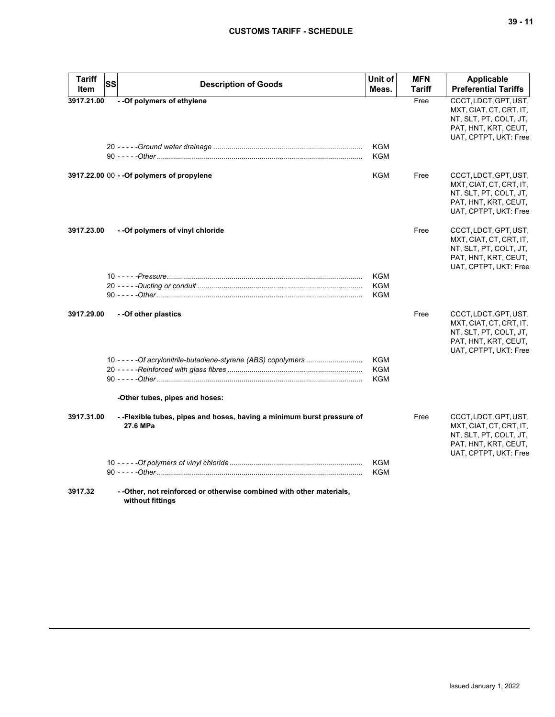# **CUSTOMS TARIFF - SCHEDULE**

| Tariff<br>Item | <b>SS</b> | <b>Description of Goods</b>                                                               | Unit of<br>Meas.  | <b>MFN</b><br>Tariff | Applicable<br><b>Preferential Tariffs</b>                                                                                   |
|----------------|-----------|-------------------------------------------------------------------------------------------|-------------------|----------------------|-----------------------------------------------------------------------------------------------------------------------------|
| 3917.21.00     |           | - - Of polymers of ethylene                                                               | <b>KGM</b><br>KGM | Free                 | CCCT, LDCT, GPT, UST,<br>MXT, CIAT, CT, CRT, IT,<br>NT, SLT, PT, COLT, JT,<br>PAT, HNT, KRT, CEUT,<br>UAT, CPTPT, UKT: Free |
|                |           | 3917.22.00 00 - - Of polymers of propylene                                                | KGM               | Free                 | CCCT, LDCT, GPT, UST,<br>MXT, CIAT, CT, CRT, IT,<br>NT, SLT, PT, COLT, JT,<br>PAT, HNT, KRT, CEUT,<br>UAT, CPTPT, UKT: Free |
| 3917.23.00     |           | - -Of polymers of vinyl chloride                                                          |                   | Free                 | CCCT, LDCT, GPT, UST,<br>MXT, CIAT, CT, CRT, IT,<br>NT, SLT, PT, COLT, JT,<br>PAT, HNT, KRT, CEUT,<br>UAT, CPTPT, UKT: Free |
|                |           |                                                                                           | <b>KGM</b>        |                      |                                                                                                                             |
|                |           |                                                                                           | KGM<br><b>KGM</b> |                      |                                                                                                                             |
| 3917.29.00     |           | - - Of other plastics                                                                     |                   | Free                 | CCCT, LDCT, GPT, UST,<br>MXT, CIAT, CT, CRT, IT,<br>NT, SLT, PT, COLT, JT,<br>PAT, HNT, KRT, CEUT,<br>UAT, CPTPT, UKT: Free |
|                |           | 10 - - - - - Of acrylonitrile-butadiene-styrene (ABS) copolymers                          | KGM               |                      |                                                                                                                             |
|                |           |                                                                                           | KGM<br><b>KGM</b> |                      |                                                                                                                             |
|                |           | -Other tubes, pipes and hoses:                                                            |                   |                      |                                                                                                                             |
| 3917.31.00     |           | --Flexible tubes, pipes and hoses, having a minimum burst pressure of<br>27.6 MPa         |                   | Free                 | CCCT, LDCT, GPT, UST,<br>MXT, CIAT, CT, CRT, IT,<br>NT, SLT, PT, COLT, JT,<br>PAT, HNT, KRT, CEUT,<br>UAT, CPTPT, UKT: Free |
|                |           |                                                                                           | KGM               |                      |                                                                                                                             |
|                |           |                                                                                           | KGM               |                      |                                                                                                                             |
| 3917.32        |           | - - Other, not reinforced or otherwise combined with other materials,<br>without fittings |                   |                      |                                                                                                                             |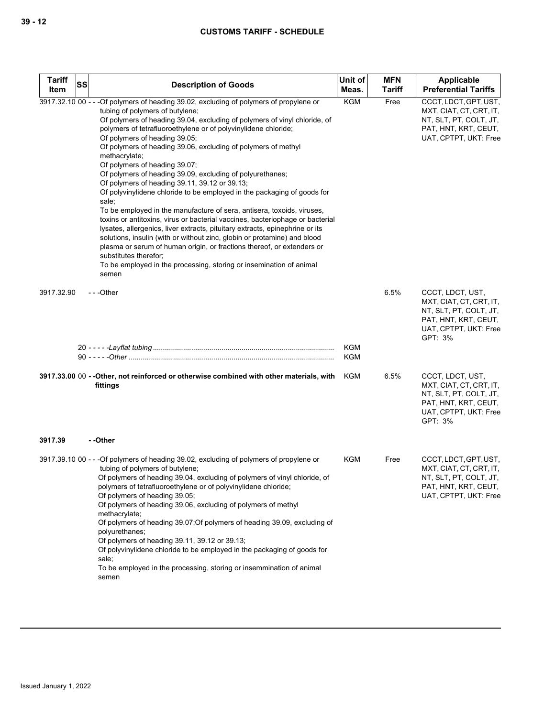| <b>Tariff</b><br>SS<br>Item | <b>Description of Goods</b>                                                                                                                                                                                                                                                                                                                                                                                                                                                                                                                                                                                                                                                                                                                                                                                                                                                                                                                                                                                                                                                                                                               | Unit of<br>Meas.  | <b>MFN</b><br><b>Tariff</b> | Applicable<br><b>Preferential Tariffs</b>                                                                                         |
|-----------------------------|-------------------------------------------------------------------------------------------------------------------------------------------------------------------------------------------------------------------------------------------------------------------------------------------------------------------------------------------------------------------------------------------------------------------------------------------------------------------------------------------------------------------------------------------------------------------------------------------------------------------------------------------------------------------------------------------------------------------------------------------------------------------------------------------------------------------------------------------------------------------------------------------------------------------------------------------------------------------------------------------------------------------------------------------------------------------------------------------------------------------------------------------|-------------------|-----------------------------|-----------------------------------------------------------------------------------------------------------------------------------|
|                             | 3917.32.10 00 - - - Of polymers of heading 39.02, excluding of polymers of propylene or<br>tubing of polymers of butylene;<br>Of polymers of heading 39.04, excluding of polymers of vinyl chloride, of<br>polymers of tetrafluoroethylene or of polyvinylidene chloride;<br>Of polymers of heading 39.05;<br>Of polymers of heading 39.06, excluding of polymers of methyl<br>methacrylate;<br>Of polymers of heading 39.07;<br>Of polymers of heading 39.09, excluding of polyurethanes;<br>Of polymers of heading 39.11, 39.12 or 39.13;<br>Of polyvinylidene chloride to be employed in the packaging of goods for<br>sale;<br>To be employed in the manufacture of sera, antisera, toxoids, viruses,<br>toxins or antitoxins, virus or bacterial vaccines, bacteriophage or bacterial<br>lysates, allergenics, liver extracts, pituitary extracts, epinephrine or its<br>solutions, insulin (with or without zinc, globin or protamine) and blood<br>plasma or serum of human origin, or fractions thereof, or extenders or<br>substitutes therefor;<br>To be employed in the processing, storing or insemination of animal<br>semen | <b>KGM</b>        | Free                        | CCCT, LDCT, GPT, UST,<br>MXT, CIAT, CT, CRT, IT,<br>NT, SLT, PT, COLT, JT,<br>PAT, HNT, KRT, CEUT,<br>UAT, CPTPT, UKT: Free       |
| 3917.32.90                  | ---Other                                                                                                                                                                                                                                                                                                                                                                                                                                                                                                                                                                                                                                                                                                                                                                                                                                                                                                                                                                                                                                                                                                                                  |                   | 6.5%                        | CCCT, LDCT, UST,<br>MXT, CIAT, CT, CRT, IT,<br>NT, SLT, PT, COLT, JT,<br>PAT, HNT, KRT, CEUT,<br>UAT, CPTPT, UKT: Free<br>GPT: 3% |
|                             |                                                                                                                                                                                                                                                                                                                                                                                                                                                                                                                                                                                                                                                                                                                                                                                                                                                                                                                                                                                                                                                                                                                                           | <b>KGM</b><br>KGM |                             |                                                                                                                                   |
|                             | 3917.33.00 00 -- Other, not reinforced or otherwise combined with other materials, with<br>fittings                                                                                                                                                                                                                                                                                                                                                                                                                                                                                                                                                                                                                                                                                                                                                                                                                                                                                                                                                                                                                                       | KGM               | 6.5%                        | CCCT, LDCT, UST,<br>MXT, CIAT, CT, CRT, IT,<br>NT, SLT, PT, COLT, JT,<br>PAT, HNT, KRT, CEUT,<br>UAT, CPTPT, UKT: Free<br>GPT: 3% |
| 3917.39                     | - -Other                                                                                                                                                                                                                                                                                                                                                                                                                                                                                                                                                                                                                                                                                                                                                                                                                                                                                                                                                                                                                                                                                                                                  |                   |                             |                                                                                                                                   |
|                             | 3917.39.10 00 - - - Of polymers of heading 39.02, excluding of polymers of propylene or<br>tubing of polymers of butylene;<br>Of polymers of heading 39.04, excluding of polymers of vinyl chloride, of<br>polymers of tetrafluoroethylene or of polyvinylidene chloride;<br>Of polymers of heading 39.05;<br>Of polymers of heading 39.06, excluding of polymers of methyl<br>methacrylate;<br>Of polymers of heading 39.07; Of polymers of heading 39.09, excluding of<br>polyurethanes;<br>Of polymers of heading 39.11, 39.12 or 39.13;<br>Of polyvinylidene chloride to be employed in the packaging of goods for<br>sale;<br>To be employed in the processing, storing or insemmination of animal<br>semen                                                                                                                                                                                                                                                                                                                                                                                                                          | <b>KGM</b>        | Free                        | CCCT, LDCT, GPT, UST,<br>MXT, CIAT, CT, CRT, IT,<br>NT, SLT, PT, COLT, JT,<br>PAT, HNT, KRT, CEUT,<br>UAT, CPTPT, UKT: Free       |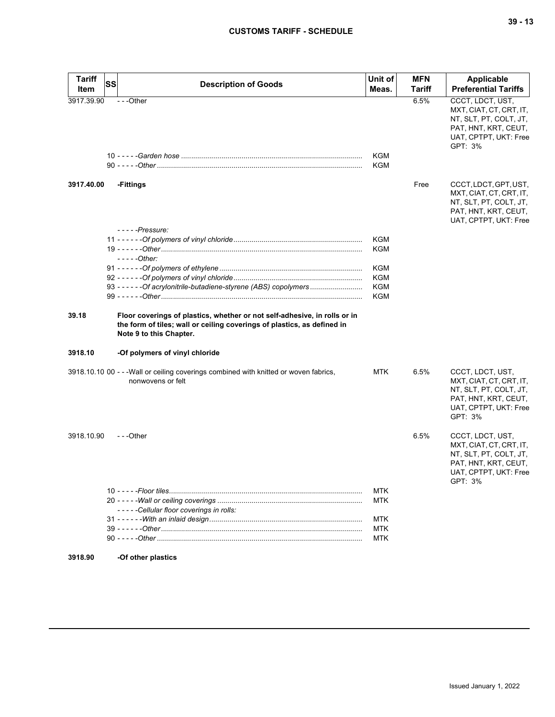| <b>Tariff</b> | <b>SS</b>                                                                                                                                                                       | Unit of                  | <b>MFN</b>    | <b>Applicable</b>                                                                                                                 |
|---------------|---------------------------------------------------------------------------------------------------------------------------------------------------------------------------------|--------------------------|---------------|-----------------------------------------------------------------------------------------------------------------------------------|
| Item          | <b>Description of Goods</b>                                                                                                                                                     | Meas.                    | <b>Tariff</b> | <b>Preferential Tariffs</b>                                                                                                       |
| 3917.39.90    | ---Other                                                                                                                                                                        | KGM<br>KGM               | 6.5%          | CCCT, LDCT, UST,<br>MXT, CIAT, CT, CRT, IT,<br>NT, SLT, PT, COLT, JT,<br>PAT, HNT, KRT, CEUT,<br>UAT, CPTPT, UKT: Free<br>GPT: 3% |
| 3917.40.00    | -Fittings                                                                                                                                                                       |                          | Free          | CCCT, LDCT, GPT, UST,<br>MXT, CIAT, CT, CRT, IT,<br>NT, SLT, PT, COLT, JT,<br>PAT, HNT, KRT, CEUT,<br>UAT, CPTPT, UKT: Free       |
|               | $---Pressure:$<br>- - - - - Other:                                                                                                                                              | <b>KGM</b><br><b>KGM</b> |               |                                                                                                                                   |
|               | 93 - - - - - - Of acrylonitrile-butadiene-styrene (ABS) copolymers                                                                                                              | KGM<br>KGM<br>KGM<br>KGM |               |                                                                                                                                   |
| 39.18         | Floor coverings of plastics, whether or not self-adhesive, in rolls or in<br>the form of tiles; wall or ceiling coverings of plastics, as defined in<br>Note 9 to this Chapter. |                          |               |                                                                                                                                   |
| 3918.10       | -Of polymers of vinyl chloride                                                                                                                                                  |                          |               |                                                                                                                                   |
|               | 3918.10.10 00 - - - Wall or ceiling coverings combined with knitted or woven fabrics,<br>nonwovens or felt                                                                      | MTK                      | 6.5%          | CCCT, LDCT, UST,<br>MXT, CIAT, CT, CRT, IT,<br>NT, SLT, PT, COLT, JT,<br>PAT, HNT, KRT, CEUT,<br>UAT, CPTPT, UKT: Free<br>GPT: 3% |
| 3918.10.90    | $- -$ Other                                                                                                                                                                     |                          | 6.5%          | CCCT, LDCT, UST,<br>MXT, CIAT, CT, CRT, IT,<br>NT, SLT, PT, COLT, JT,<br>PAT, HNT, KRT, CEUT,<br>UAT, CPTPT, UKT: Free<br>GPI: 3% |
|               |                                                                                                                                                                                 | MTK                      |               |                                                                                                                                   |
|               | -----Cellular floor coverings in rolls:                                                                                                                                         | MTK                      |               |                                                                                                                                   |
|               |                                                                                                                                                                                 | MTK                      |               |                                                                                                                                   |
|               |                                                                                                                                                                                 | MTK<br>MTK               |               |                                                                                                                                   |
|               |                                                                                                                                                                                 |                          |               |                                                                                                                                   |

**3918.90 -Of other plastics**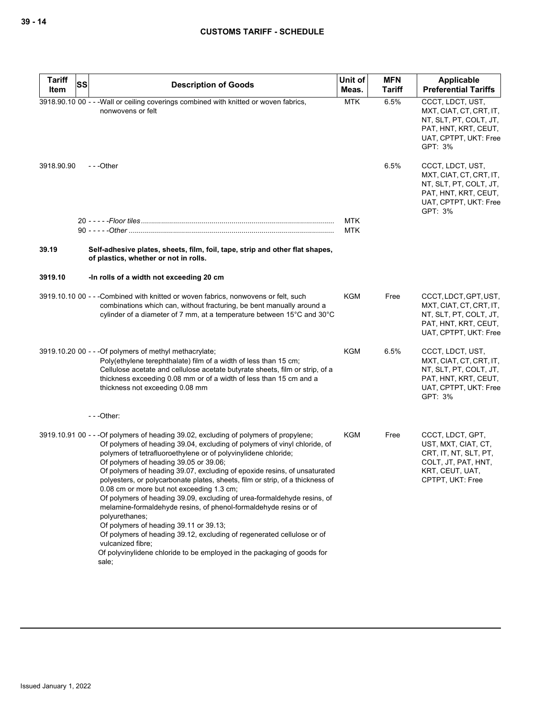| <b>Tariff</b><br><b>SS</b> | <b>Description of Goods</b>                                                                                                                                                                                                                                                                                                                                                                                                                                                                                                                                                                                                                                                                                                                                                                                                                                                              | Unit of                  | <b>MFN</b>    | <b>Applicable</b>                                                                                                                 |
|----------------------------|------------------------------------------------------------------------------------------------------------------------------------------------------------------------------------------------------------------------------------------------------------------------------------------------------------------------------------------------------------------------------------------------------------------------------------------------------------------------------------------------------------------------------------------------------------------------------------------------------------------------------------------------------------------------------------------------------------------------------------------------------------------------------------------------------------------------------------------------------------------------------------------|--------------------------|---------------|-----------------------------------------------------------------------------------------------------------------------------------|
| Item                       |                                                                                                                                                                                                                                                                                                                                                                                                                                                                                                                                                                                                                                                                                                                                                                                                                                                                                          | Meas.                    | <b>Tariff</b> | <b>Preferential Tariffs</b>                                                                                                       |
|                            | 3918.90.10 00 - - - Wall or ceiling coverings combined with knitted or woven fabrics,<br>nonwovens or felt                                                                                                                                                                                                                                                                                                                                                                                                                                                                                                                                                                                                                                                                                                                                                                               | <b>MTK</b>               | 6.5%          | CCCT, LDCT, UST,<br>MXT, CIAT, CT, CRT, IT,<br>NT, SLT, PT, COLT, JT,<br>PAT, HNT, KRT, CEUT,<br>UAT, CPTPT, UKT: Free<br>GPT: 3% |
| 3918.90.90                 | ---Other                                                                                                                                                                                                                                                                                                                                                                                                                                                                                                                                                                                                                                                                                                                                                                                                                                                                                 |                          | 6.5%          | CCCT, LDCT, UST,<br>MXT, CIAT, CT, CRT, IT,<br>NT, SLT, PT, COLT, JT,<br>PAT, HNT, KRT, CEUT,<br>UAT, CPTPT, UKT: Free<br>GPT: 3% |
|                            |                                                                                                                                                                                                                                                                                                                                                                                                                                                                                                                                                                                                                                                                                                                                                                                                                                                                                          | <b>MTK</b><br><b>MTK</b> |               |                                                                                                                                   |
| 39.19                      | Self-adhesive plates, sheets, film, foil, tape, strip and other flat shapes,<br>of plastics, whether or not in rolls.                                                                                                                                                                                                                                                                                                                                                                                                                                                                                                                                                                                                                                                                                                                                                                    |                          |               |                                                                                                                                   |
| 3919.10                    | -In rolls of a width not exceeding 20 cm                                                                                                                                                                                                                                                                                                                                                                                                                                                                                                                                                                                                                                                                                                                                                                                                                                                 |                          |               |                                                                                                                                   |
|                            | 3919.10.10 00 - - - Combined with knitted or woven fabrics, nonwovens or felt, such<br>combinations which can, without fracturing, be bent manually around a<br>cylinder of a diameter of 7 mm, at a temperature between 15°C and 30°C                                                                                                                                                                                                                                                                                                                                                                                                                                                                                                                                                                                                                                                   | KGM                      | Free          | CCCT, LDCT, GPT, UST,<br>MXT, CIAT, CT, CRT, IT,<br>NT, SLT, PT, COLT, JT,<br>PAT, HNT, KRT, CEUT,<br>UAT, CPTPT, UKT: Free       |
|                            | 3919.10.20 00 - - - Of polymers of methyl methacrylate;<br>Poly(ethylene terephthalate) film of a width of less than 15 cm;<br>Cellulose acetate and cellulose acetate butyrate sheets, film or strip, of a<br>thickness exceeding 0.08 mm or of a width of less than 15 cm and a<br>thickness not exceeding 0.08 mm                                                                                                                                                                                                                                                                                                                                                                                                                                                                                                                                                                     | KGM                      | 6.5%          | CCCT, LDCT, UST,<br>MXT, CIAT, CT, CRT, IT,<br>NT, SLT, PT, COLT, JT,<br>PAT, HNT, KRT, CEUT,<br>UAT, CPTPT, UKT: Free<br>GPT: 3% |
|                            | $--$ Other:                                                                                                                                                                                                                                                                                                                                                                                                                                                                                                                                                                                                                                                                                                                                                                                                                                                                              |                          |               |                                                                                                                                   |
|                            | 3919.10.91 00 - - - Of polymers of heading 39.02, excluding of polymers of propylene;<br>Of polymers of heading 39.04, excluding of polymers of vinyl chloride, of<br>polymers of tetrafluoroethylene or of polyvinylidene chloride;<br>Of polymers of heading 39.05 or 39.06;<br>Of polymers of heading 39.07, excluding of epoxide resins, of unsaturated<br>polyesters, or polycarbonate plates, sheets, film or strip, of a thickness of<br>0.08 cm or more but not exceeding 1.3 cm;<br>Of polymers of heading 39.09, excluding of urea-formaldehyde resins, of<br>melamine-formaldehyde resins, of phenol-formaldehyde resins or of<br>polyurethanes;<br>Of polymers of heading 39.11 or 39.13;<br>Of polymers of heading 39.12, excluding of regenerated cellulose or of<br>vulcanized fibre;<br>Of polyvinylidene chloride to be employed in the packaging of goods for<br>sale; | KGM                      | Free          | CCCT, LDCT, GPT,<br>UST, MXT, CIAT, CT,<br>CRT, IT, NT, SLT, PT,<br>COLT, JT, PAT, HNT,<br>KRT, CEUT, UAT,<br>CPTPT, UKT: Free    |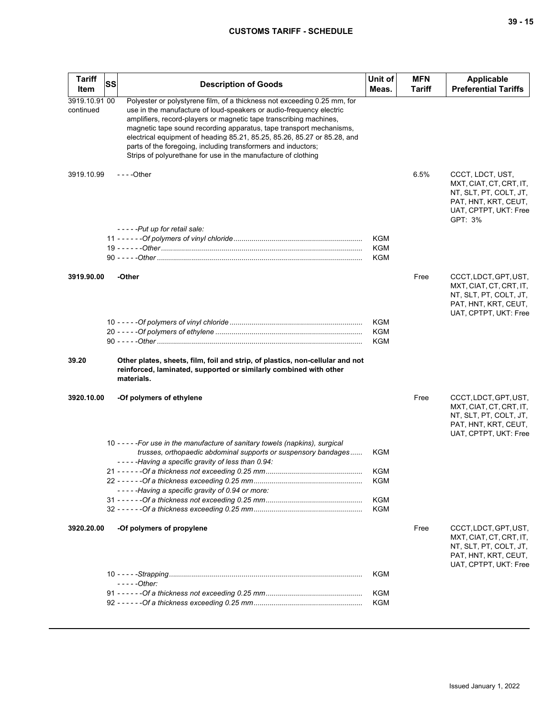## **CUSTOMS TARIFF - SCHEDULE**

| <b>Tariff</b><br>Item      | <b>SS</b> | <b>Description of Goods</b>                                                                                                                                                                                                                                                                                                                                                                                                                                                                                | Unit of<br>Meas.  | <b>MFN</b><br><b>Tariff</b> | Applicable<br><b>Preferential Tariffs</b>                                                                                         |
|----------------------------|-----------|------------------------------------------------------------------------------------------------------------------------------------------------------------------------------------------------------------------------------------------------------------------------------------------------------------------------------------------------------------------------------------------------------------------------------------------------------------------------------------------------------------|-------------------|-----------------------------|-----------------------------------------------------------------------------------------------------------------------------------|
| 3919.10.91 00<br>continued |           | Polyester or polystyrene film, of a thickness not exceeding 0.25 mm, for<br>use in the manufacture of loud-speakers or audio-frequency electric<br>amplifiers, record-players or magnetic tape transcribing machines,<br>magnetic tape sound recording apparatus, tape transport mechanisms,<br>electrical equipment of heading 85.21, 85.25, 85.26, 85.27 or 85.28, and<br>parts of the foregoing, including transformers and inductors;<br>Strips of polyurethane for use in the manufacture of clothing |                   |                             |                                                                                                                                   |
| 3919.10.99                 |           | $--$ Other                                                                                                                                                                                                                                                                                                                                                                                                                                                                                                 |                   | 6.5%                        | CCCT, LDCT, UST,<br>MXT, CIAT, CT, CRT, IT,<br>NT, SLT, PT, COLT, JT,<br>PAT, HNT, KRT, CEUT,<br>UAT, CPTPT, UKT: Free<br>GPT: 3% |
|                            |           | -----Put up for retail sale:                                                                                                                                                                                                                                                                                                                                                                                                                                                                               | <b>KGM</b>        |                             |                                                                                                                                   |
|                            |           |                                                                                                                                                                                                                                                                                                                                                                                                                                                                                                            | <b>KGM</b>        |                             |                                                                                                                                   |
|                            |           |                                                                                                                                                                                                                                                                                                                                                                                                                                                                                                            | KGM               |                             |                                                                                                                                   |
| 3919.90.00                 |           | -Other                                                                                                                                                                                                                                                                                                                                                                                                                                                                                                     |                   | Free                        | CCCT, LDCT, GPT, UST,<br>MXT, CIAT, CT, CRT, IT,<br>NT, SLT, PT, COLT, JT,<br>PAT, HNT, KRT, CEUT,<br>UAT, CPTPT, UKT: Free       |
|                            |           |                                                                                                                                                                                                                                                                                                                                                                                                                                                                                                            | KGM               |                             |                                                                                                                                   |
|                            |           |                                                                                                                                                                                                                                                                                                                                                                                                                                                                                                            | KGM<br>KGM        |                             |                                                                                                                                   |
| 39.20                      |           | Other plates, sheets, film, foil and strip, of plastics, non-cellular and not<br>reinforced, laminated, supported or similarly combined with other<br>materials.                                                                                                                                                                                                                                                                                                                                           |                   |                             |                                                                                                                                   |
| 3920.10.00                 |           | -Of polymers of ethylene                                                                                                                                                                                                                                                                                                                                                                                                                                                                                   |                   | Free                        | CCCT, LDCT, GPT, UST,<br>MXT, CIAT, CT, CRT, IT,<br>NT, SLT, PT, COLT, JT,<br>PAT, HNT, KRT, CEUT,<br>UAT, CPTPT, UKT: Free       |
|                            |           | 10 - - - - - For use in the manufacture of sanitary towels (napkins), surgical<br>trusses, orthopaedic abdominal supports or suspensory bandages<br>-----Having a specific gravity of less than 0.94:                                                                                                                                                                                                                                                                                                      | KGM               |                             |                                                                                                                                   |
|                            |           |                                                                                                                                                                                                                                                                                                                                                                                                                                                                                                            | KGM               |                             |                                                                                                                                   |
|                            |           |                                                                                                                                                                                                                                                                                                                                                                                                                                                                                                            | <b>KGM</b>        |                             |                                                                                                                                   |
|                            |           | -----Having a specific gravity of 0.94 or more:                                                                                                                                                                                                                                                                                                                                                                                                                                                            |                   |                             |                                                                                                                                   |
|                            |           |                                                                                                                                                                                                                                                                                                                                                                                                                                                                                                            | <b>KGM</b><br>KGM |                             |                                                                                                                                   |
|                            |           |                                                                                                                                                                                                                                                                                                                                                                                                                                                                                                            |                   |                             |                                                                                                                                   |
| 3920.20.00                 |           | -Of polymers of propylene                                                                                                                                                                                                                                                                                                                                                                                                                                                                                  |                   | Free                        | CCCT, LDCT, GPT, UST,<br>MXT, CIAT, CT, CRT, IT,<br>NT, SLT, PT, COLT, JT,<br>PAT, HNT, KRT, CEUT,<br>UAT, CPTPT, UKT: Free       |
|                            |           | $---Other:$                                                                                                                                                                                                                                                                                                                                                                                                                                                                                                | KGM               |                             |                                                                                                                                   |
|                            |           |                                                                                                                                                                                                                                                                                                                                                                                                                                                                                                            | <b>KGM</b>        |                             |                                                                                                                                   |
|                            |           |                                                                                                                                                                                                                                                                                                                                                                                                                                                                                                            | <b>KGM</b>        |                             |                                                                                                                                   |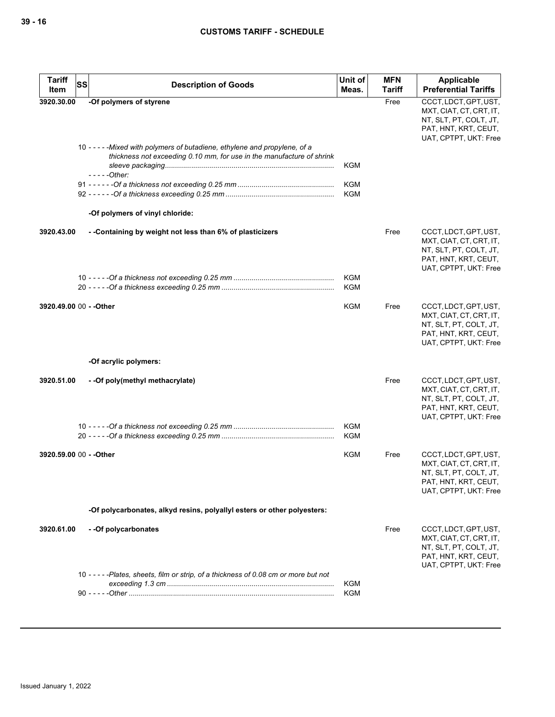| <b>Tariff</b><br>SS<br>Item | <b>Description of Goods</b>                                                                                                                          | Unit of<br>Meas.         | <b>MFN</b><br>Tariff | <b>Applicable</b><br><b>Preferential Tariffs</b>                                                                            |
|-----------------------------|------------------------------------------------------------------------------------------------------------------------------------------------------|--------------------------|----------------------|-----------------------------------------------------------------------------------------------------------------------------|
| 3920.30.00                  | -Of polymers of styrene                                                                                                                              |                          | Free                 | CCCT, LDCT, GPT, UST,<br>MXT, CIAT, CT, CRT, IT,<br>NT, SLT, PT, COLT, JT,<br>PAT, HNT, KRT, CEUT,<br>UAT, CPTPT, UKT: Free |
|                             | 10 - - - - - Mixed with polymers of butadiene, ethylene and propylene, of a<br>thickness not exceeding 0.10 mm, for use in the manufacture of shrink | KGM                      |                      |                                                                                                                             |
|                             | $---Other:$                                                                                                                                          | <b>KGM</b><br><b>KGM</b> |                      |                                                                                                                             |
|                             | -Of polymers of vinyl chloride:                                                                                                                      |                          |                      |                                                                                                                             |
| 3920.43.00                  | - -Containing by weight not less than 6% of plasticizers                                                                                             |                          | Free                 | CCCT, LDCT, GPT, UST,<br>MXT, CIAT, CT, CRT, IT,<br>NT, SLT, PT, COLT, JT,<br>PAT, HNT, KRT, CEUT,<br>UAT, CPTPT, UKT: Free |
|                             |                                                                                                                                                      | <b>KGM</b><br><b>KGM</b> |                      |                                                                                                                             |
| 3920.49.00 00 - - Other     |                                                                                                                                                      | <b>KGM</b>               | Free                 | CCCT, LDCT, GPT, UST,<br>MXT, CIAT, CT, CRT, IT,<br>NT, SLT, PT, COLT, JT,<br>PAT, HNT, KRT, CEUT,<br>UAT, CPTPT, UKT: Free |
|                             | -Of acrylic polymers:                                                                                                                                |                          |                      |                                                                                                                             |
| 3920.51.00                  | - - Of poly (methyl methacrylate)                                                                                                                    |                          | Free                 | CCCT, LDCT, GPT, UST,<br>MXT, CIAT, CT, CRT, IT,<br>NT, SLT, PT, COLT, JT,<br>PAT, HNT, KRT, CEUT,<br>UAT, CPTPT, UKT: Free |
|                             |                                                                                                                                                      | <b>KGM</b><br><b>KGM</b> |                      |                                                                                                                             |
| 3920.59.00 00 - - Other     |                                                                                                                                                      | <b>KGM</b>               | Free                 | CCCT, LDCT, GPT, UST,<br>MXT, CIAT, CT, CRT, IT,<br>NT, SLT, PT, COLT, JT,<br>PAT, HNT, KRT, CEUT,<br>UAT, CPTPT, UKT: Free |
|                             | -Of polycarbonates, alkyd resins, polyallyl esters or other polyesters:                                                                              |                          |                      |                                                                                                                             |
| 3920.61.00                  | - - Of polycarbonates                                                                                                                                |                          | Free                 | CCCT, LDCT, GPT, UST,<br>MXT, CIAT, CT, CRT, IT,<br>NT, SLT, PT, COLT, JT,<br>PAT, HNT, KRT, CEUT,<br>UAT, CPTPT, UKT: Free |
|                             | 10 - - - - - Plates, sheets, film or strip, of a thickness of 0.08 cm or more but not                                                                | KGM<br><b>KGM</b>        |                      |                                                                                                                             |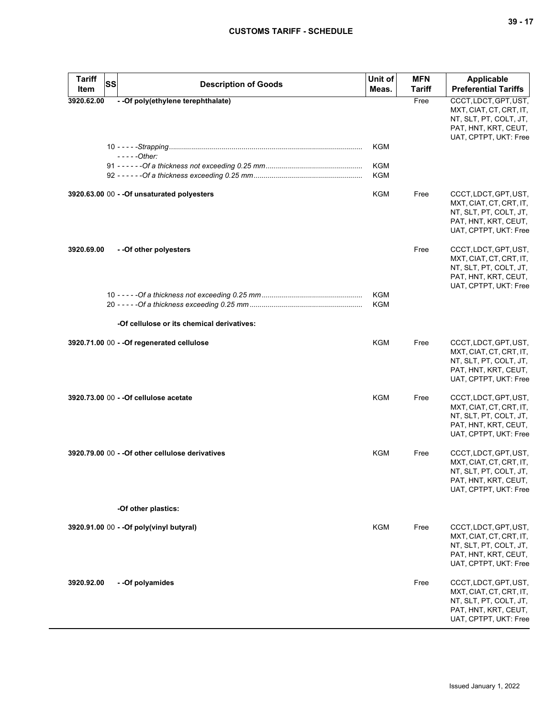| <b>Tariff</b>      | SS<br><b>Description of Goods</b>                | Unit of<br>Meas.         | <b>MFN</b><br>Tariff | <b>Applicable</b><br><b>Preferential Tariffs</b>                                                                            |
|--------------------|--------------------------------------------------|--------------------------|----------------------|-----------------------------------------------------------------------------------------------------------------------------|
| Item<br>3920.62.00 | - - Of poly(ethylene terephthalate)              |                          | Free                 | CCCT, LDCT, GPT, UST,                                                                                                       |
|                    |                                                  |                          |                      | MXT, CIAT, CT, CRT, IT,<br>NT, SLT, PT, COLT, JT,<br>PAT, HNT, KRT, CEUT,<br>UAT, CPTPT, UKT: Free                          |
|                    |                                                  | KGM                      |                      |                                                                                                                             |
|                    | $---Other:$                                      |                          |                      |                                                                                                                             |
|                    |                                                  | <b>KGM</b><br><b>KGM</b> |                      |                                                                                                                             |
|                    |                                                  |                          |                      |                                                                                                                             |
|                    | 3920.63.00 00 - - Of unsaturated polyesters      | KGM                      | Free                 | CCCT, LDCT, GPT, UST,<br>MXT, CIAT, CT, CRT, IT,<br>NT, SLT, PT, COLT, JT,<br>PAT, HNT, KRT, CEUT,<br>UAT, CPTPT, UKT: Free |
| 3920.69.00         | - - Of other polyesters                          |                          | Free                 | CCCT, LDCT, GPT, UST,<br>MXT, CIAT, CT, CRT, IT,<br>NT, SLT, PT, COLT, JT,<br>PAT, HNT, KRT, CEUT,<br>UAT, CPTPT, UKT: Free |
|                    |                                                  | <b>KGM</b>               |                      |                                                                                                                             |
|                    |                                                  | <b>KGM</b>               |                      |                                                                                                                             |
|                    | -Of cellulose or its chemical derivatives:       |                          |                      |                                                                                                                             |
|                    | 3920.71.00 00 - - Of regenerated cellulose       | KGM                      | Free                 | CCCT, LDCT, GPT, UST,<br>MXT, CIAT, CT, CRT, IT,<br>NT, SLT, PT, COLT, JT,<br>PAT, HNT, KRT, CEUT,<br>UAT, CPTPT, UKT: Free |
|                    | 3920.73.00 00 - - Of cellulose acetate           | <b>KGM</b>               | Free                 | CCCT, LDCT, GPT, UST,<br>MXT, CIAT, CT, CRT, IT,<br>NT, SLT, PT, COLT, JT,<br>PAT, HNT, KRT, CEUT,<br>UAT, CPTPT, UKT: Free |
|                    | 3920.79.00 00 - - Of other cellulose derivatives | <b>KGM</b>               | Free                 | CCCT, LDCT, GPT, UST,<br>MXT, CIAT, CT, CRT, IT,<br>NT, SLT, PT, COLT, JT,<br>PAT, HNT, KRT, CEUT,<br>UAT, CPTPT, UKT: Free |
|                    | -Of other plastics:                              |                          |                      |                                                                                                                             |
|                    |                                                  |                          |                      |                                                                                                                             |
|                    | 3920.91.00 00 - - Of poly(vinyl butyral)         | KGM                      | Free                 | CCCT, LDCT, GPT, UST,<br>MXT, CIAT, CT, CRT, IT,<br>NT, SLT, PT, COLT, JT,<br>PAT, HNT, KRT, CEUT,<br>UAT, CPTPT, UKT: Free |
| 3920.92.00         | - - Of polyamides                                |                          | Free                 | CCCT, LDCT, GPT, UST,<br>MXT, CIAT, CT, CRT, IT,<br>NT, SLT, PT, COLT, JT,<br>PAT, HNT, KRT, CEUT,<br>UAT, CPTPT, UKT: Free |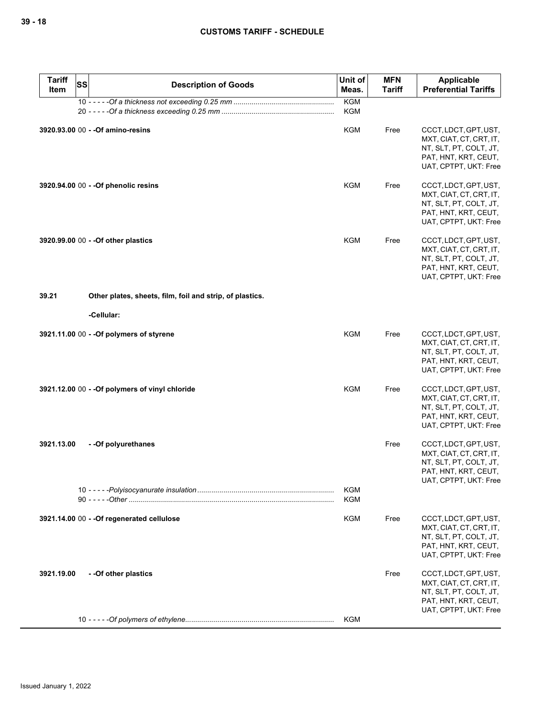| <b>Tariff</b><br>Item | SS | <b>Description of Goods</b>                              | Unit of<br>Meas.         | <b>MFN</b><br><b>Tariff</b> | Applicable<br><b>Preferential Tariffs</b>                                                                                   |
|-----------------------|----|----------------------------------------------------------|--------------------------|-----------------------------|-----------------------------------------------------------------------------------------------------------------------------|
|                       |    |                                                          | <b>KGM</b><br><b>KGM</b> |                             |                                                                                                                             |
|                       |    | 3920.93.00 00 - - Of amino-resins                        | <b>KGM</b>               | Free                        | CCCT, LDCT, GPT, UST,<br>MXT, CIAT, CT, CRT, IT,<br>NT, SLT, PT, COLT, JT,<br>PAT, HNT, KRT, CEUT,<br>UAT, CPTPT, UKT: Free |
|                       |    | 3920.94.00 00 - - Of phenolic resins                     | <b>KGM</b>               | Free                        | CCCT, LDCT, GPT, UST,<br>MXT, CIAT, CT, CRT, IT,<br>NT, SLT, PT, COLT, JT,<br>PAT, HNT, KRT, CEUT,<br>UAT, CPTPT, UKT: Free |
|                       |    | 3920.99.00 00 - - Of other plastics                      | <b>KGM</b>               | Free                        | CCCT, LDCT, GPT, UST,<br>MXT, CIAT, CT, CRT, IT,<br>NT, SLT, PT, COLT, JT,<br>PAT, HNT, KRT, CEUT,<br>UAT, CPTPT, UKT: Free |
| 39.21                 |    | Other plates, sheets, film, foil and strip, of plastics. |                          |                             |                                                                                                                             |
|                       |    | -Cellular:                                               |                          |                             |                                                                                                                             |
|                       |    | 3921.11.00 00 - - Of polymers of styrene                 | <b>KGM</b>               | Free                        | CCCT, LDCT, GPT, UST,<br>MXT, CIAT, CT, CRT, IT,<br>NT, SLT, PT, COLT, JT,<br>PAT, HNT, KRT, CEUT,<br>UAT, CPTPT, UKT: Free |
|                       |    | 3921.12.00 00 - - Of polymers of vinyl chloride          | KGM                      | Free                        | CCCT, LDCT, GPT, UST,<br>MXT, CIAT, CT, CRT, IT,<br>NT, SLT, PT, COLT, JT,<br>PAT, HNT, KRT, CEUT,<br>UAT, CPTPT, UKT: Free |
| 3921.13.00            |    | --Of polyurethanes                                       |                          | Free                        | CCCT, LDCT, GPT, UST,<br>MXT, CIAT, CT, CRT, IT,<br>NT, SLT, PT, COLT, JT,<br>PAT, HNT, KRT, CEUT,<br>UAT, CPTPT, UKT: Free |
|                       |    |                                                          | KGM<br><b>KGM</b>        |                             |                                                                                                                             |
|                       |    | 3921.14.00 00 - - Of regenerated cellulose               | KGM                      | Free                        | CCCT, LDCT, GPT, UST,<br>MXT, CIAT, CT, CRT, IT,<br>NT, SLT, PT, COLT, JT,<br>PAT, HNT, KRT, CEUT,<br>UAT, CPTPT, UKT: Free |
| 3921.19.00            |    | -- Of other plastics                                     |                          | Free                        | CCCT, LDCT, GPT, UST,<br>MXT, CIAT, CT, CRT, IT,<br>NT, SLT, PT, COLT, JT,<br>PAT, HNT, KRT, CEUT,<br>UAT, CPTPT, UKT: Free |
|                       |    |                                                          | <b>KGM</b>               |                             |                                                                                                                             |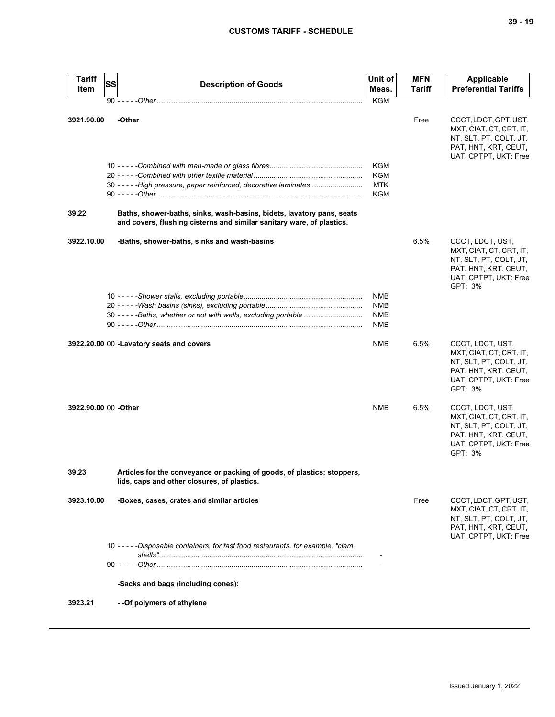| <b>Tariff</b><br>Item | <b>SS</b> | <b>Description of Goods</b>                                                                                                                    | Unit of<br>Meas.                              | <b>MFN</b><br><b>Tariff</b> | Applicable<br><b>Preferential Tariffs</b>                                                                                         |
|-----------------------|-----------|------------------------------------------------------------------------------------------------------------------------------------------------|-----------------------------------------------|-----------------------------|-----------------------------------------------------------------------------------------------------------------------------------|
|                       |           |                                                                                                                                                | <b>KGM</b>                                    |                             |                                                                                                                                   |
|                       |           |                                                                                                                                                |                                               |                             |                                                                                                                                   |
| 3921.90.00            |           | -Other<br>30 - - - - - High pressure, paper reinforced, decorative laminates                                                                   | KGM<br>KGM<br><b>MTK</b><br>KGM               | Free                        | CCCT, LDCT, GPT, UST,<br>MXT, CIAT, CT, CRT, IT,<br>NT, SLT, PT, COLT, JT,<br>PAT, HNT, KRT, CEUT,<br>UAT, CPTPT, UKT: Free       |
| 39.22                 |           | Baths, shower-baths, sinks, wash-basins, bidets, lavatory pans, seats<br>and covers, flushing cisterns and similar sanitary ware, of plastics. |                                               |                             |                                                                                                                                   |
| 3922.10.00            |           | -Baths, shower-baths, sinks and wash-basins                                                                                                    |                                               | 6.5%                        | CCCT, LDCT, UST,<br>MXT, CIAT, CT, CRT, IT,<br>NT, SLT, PT, COLT, JT,<br>PAT, HNT, KRT, CEUT,<br>UAT, CPTPT, UKT: Free<br>GPT: 3% |
|                       |           | 30 - - - - - Baths, whether or not with walls, excluding portable                                                                              | <b>NMB</b><br><b>NMB</b><br><b>NMB</b><br>NMB |                             |                                                                                                                                   |
|                       |           | 3922.20.00 00 -Lavatory seats and covers                                                                                                       | NMB                                           | 6.5%                        | CCCT, LDCT, UST,<br>MXT, CIAT, CT, CRT, IT,<br>NT, SLT, PT, COLT, JT,<br>PAT, HNT, KRT, CEUT,<br>UAT, CPTPT, UKT: Free<br>GPT: 3% |
| 3922.90.00 00 -Other  |           |                                                                                                                                                | <b>NMB</b>                                    | 6.5%                        | CCCT, LDCT, UST,<br>MXT, CIAT, CT, CRT, IT,<br>NT, SLT, PT, COLT, JT,<br>PAT, HNT, KRT, CEUT,<br>UAT, CPTPT, UKT: Free<br>GPT: 3% |
| 39.23                 |           | Articles for the conveyance or packing of goods, of plastics; stoppers,<br>lids, caps and other closures, of plastics.                         |                                               |                             |                                                                                                                                   |
| 3923.10.00            |           | -Boxes, cases, crates and similar articles                                                                                                     |                                               | Free                        | CCCT, LDCT, GPT, UST,<br>MXT, CIAT, CT, CRT, IT,<br>NT, SLT, PT, COLT, JT,<br>PAT, HNT, KRT, CEUT,<br>UAT, CPTPT, UKT: Free       |
|                       |           | 10 - - - - - Disposable containers, for fast food restaurants, for example, "clam                                                              |                                               |                             |                                                                                                                                   |
|                       |           | -Sacks and bags (including cones):                                                                                                             |                                               |                             |                                                                                                                                   |
| 3923.21               |           | - - Of polymers of ethylene                                                                                                                    |                                               |                             |                                                                                                                                   |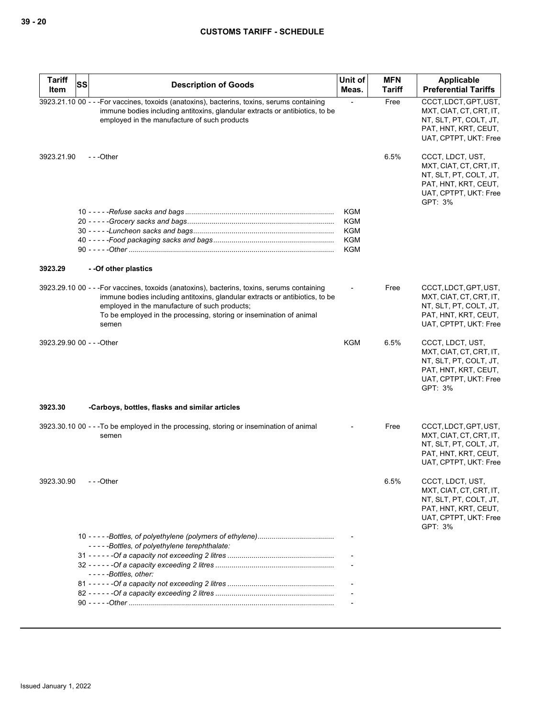| <b>Tariff</b><br>Item     | SS | <b>Description of Goods</b>                                                                                                                                                                                                                                                                                  | Unit of<br>Meas.         | <b>MFN</b><br><b>Tariff</b> | <b>Applicable</b><br><b>Preferential Tariffs</b>                                                                                  |
|---------------------------|----|--------------------------------------------------------------------------------------------------------------------------------------------------------------------------------------------------------------------------------------------------------------------------------------------------------------|--------------------------|-----------------------------|-----------------------------------------------------------------------------------------------------------------------------------|
|                           |    | 3923.21.10 00 - - - For vaccines, toxoids (anatoxins), bacterins, toxins, serums containing<br>immune bodies including antitoxins, glandular extracts or antibiotics, to be<br>employed in the manufacture of such products                                                                                  |                          | Free                        | CCCT, LDCT, GPT, UST,<br>MXT, CIAT, CT, CRT, IT,<br>NT, SLT, PT, COLT, JT,<br>PAT, HNT, KRT, CEUT,<br>UAT, CPTPT, UKT: Free       |
| 3923.21.90                |    | ---Other                                                                                                                                                                                                                                                                                                     |                          | 6.5%                        | CCCT, LDCT, UST,<br>MXT, CIAT, CT, CRT, IT,<br>NT, SLT, PT, COLT, JT,<br>PAT, HNT, KRT, CEUT,<br>UAT, CPTPT, UKT: Free<br>GPT: 3% |
|                           |    |                                                                                                                                                                                                                                                                                                              | <b>KGM</b>               |                             |                                                                                                                                   |
|                           |    |                                                                                                                                                                                                                                                                                                              | <b>KGM</b><br><b>KGM</b> |                             |                                                                                                                                   |
|                           |    |                                                                                                                                                                                                                                                                                                              | <b>KGM</b>               |                             |                                                                                                                                   |
|                           |    |                                                                                                                                                                                                                                                                                                              | <b>KGM</b>               |                             |                                                                                                                                   |
| 3923.29                   |    | --Of other plastics                                                                                                                                                                                                                                                                                          |                          |                             |                                                                                                                                   |
|                           |    | 3923.29.10 00 - - - For vaccines, toxoids (anatoxins), bacterins, toxins, serums containing<br>immune bodies including antitoxins, glandular extracts or antibiotics, to be<br>employed in the manufacture of such products;<br>To be employed in the processing, storing or insemination of animal<br>semen |                          | Free                        | CCCT, LDCT, GPT, UST,<br>MXT, CIAT, CT, CRT, IT,<br>NT, SLT, PT, COLT, JT,<br>PAT, HNT, KRT, CEUT,<br>UAT, CPTPT, UKT: Free       |
| 3923.29.90 00 - - - Other |    |                                                                                                                                                                                                                                                                                                              | KGM                      | 6.5%                        | CCCT, LDCT, UST,<br>MXT, CIAT, CT, CRT, IT,<br>NT, SLT, PT, COLT, JT,<br>PAT, HNT, KRT, CEUT,<br>UAT, CPTPT, UKT: Free<br>GPT: 3% |
| 3923.30                   |    | -Carboys, bottles, flasks and similar articles                                                                                                                                                                                                                                                               |                          |                             |                                                                                                                                   |
|                           |    | 3923.30.10 00 - - - To be employed in the processing, storing or insemination of animal<br>semen                                                                                                                                                                                                             |                          | Free                        | CCCT, LDCT, GPT, UST,<br>MXT, CIAT, CT, CRT, IT,<br>NT, SLT, PT, COLT, JT,<br>PAT, HNT, KRT, CEUT,<br>UAT, CPTPT, UKT: Free       |
| 3923.30.90                |    | - - -Other                                                                                                                                                                                                                                                                                                   |                          | 6.5%                        | CCCT, LDCT, UST,<br>MXT, CIAT, CT, CRT, IT,<br>NT, SLT, PT, COLT, JT,<br>PAT, HNT, KRT, CEUT,<br>UAT, CPTPT, UKT: Free<br>GPT: 3% |
|                           |    |                                                                                                                                                                                                                                                                                                              |                          |                             |                                                                                                                                   |
|                           |    | -----Bottles, of polyethylene terephthalate:                                                                                                                                                                                                                                                                 |                          |                             |                                                                                                                                   |
|                           |    |                                                                                                                                                                                                                                                                                                              |                          |                             |                                                                                                                                   |
|                           |    | -----Bottles, other:                                                                                                                                                                                                                                                                                         |                          |                             |                                                                                                                                   |
|                           |    |                                                                                                                                                                                                                                                                                                              |                          |                             |                                                                                                                                   |
|                           |    |                                                                                                                                                                                                                                                                                                              |                          |                             |                                                                                                                                   |
|                           |    |                                                                                                                                                                                                                                                                                                              |                          |                             |                                                                                                                                   |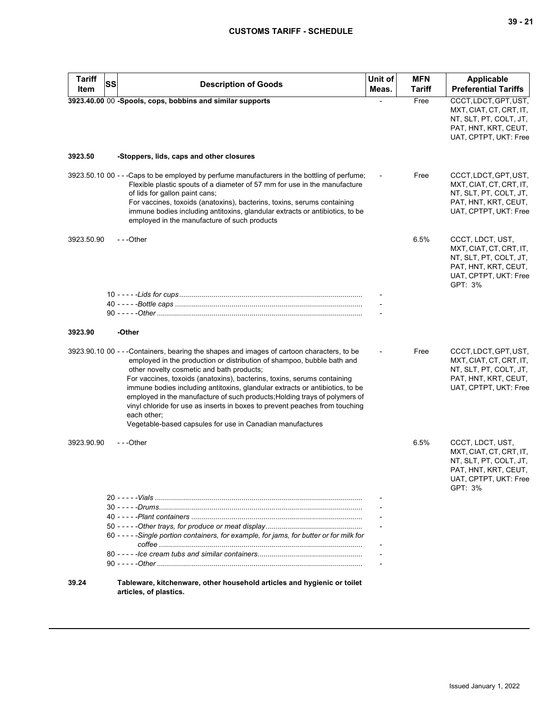| <b>Tariff</b><br>Item | SS | <b>Description of Goods</b>                                                                                                                                                                                                                                                                                                                                                                                                                                                                                                                                                                                          | Unit of<br>Meas. | <b>MFN</b><br><b>Tariff</b> | <b>Applicable</b><br><b>Preferential Tariffs</b>                                                                                  |
|-----------------------|----|----------------------------------------------------------------------------------------------------------------------------------------------------------------------------------------------------------------------------------------------------------------------------------------------------------------------------------------------------------------------------------------------------------------------------------------------------------------------------------------------------------------------------------------------------------------------------------------------------------------------|------------------|-----------------------------|-----------------------------------------------------------------------------------------------------------------------------------|
|                       |    | 3923.40.00 00 -Spools, cops, bobbins and similar supports                                                                                                                                                                                                                                                                                                                                                                                                                                                                                                                                                            |                  | Free                        | CCCT, LDCT, GPT, UST,<br>MXT, CIAT, CT, CRT, IT,<br>NT, SLT, PT, COLT, JT,<br>PAT, HNT, KRT, CEUT,<br>UAT, CPTPT, UKT: Free       |
| 3923.50               |    | -Stoppers, lids, caps and other closures                                                                                                                                                                                                                                                                                                                                                                                                                                                                                                                                                                             |                  |                             |                                                                                                                                   |
|                       |    | 3923.50.10 00 - - - Caps to be employed by perfume manufacturers in the bottling of perfume;<br>Flexible plastic spouts of a diameter of 57 mm for use in the manufacture<br>of lids for gallon paint cans;<br>For vaccines, toxoids (anatoxins), bacterins, toxins, serums containing<br>immune bodies including antitoxins, glandular extracts or antibiotics, to be<br>employed in the manufacture of such products                                                                                                                                                                                               |                  | Free                        | CCCT, LDCT, GPT, UST,<br>MXT, CIAT, CT, CRT, IT,<br>NT, SLT, PT, COLT, JT,<br>PAT, HNT, KRT, CEUT,<br>UAT, CPTPT, UKT: Free       |
| 3923.50.90            |    | ---Other                                                                                                                                                                                                                                                                                                                                                                                                                                                                                                                                                                                                             |                  | 6.5%                        | CCCT, LDCT, UST,<br>MXT, CIAT, CT, CRT, IT,<br>NT, SLT, PT, COLT, JT,<br>PAT, HNT, KRT, CEUT,<br>UAT, CPTPT, UKT: Free<br>GPT: 3% |
|                       |    |                                                                                                                                                                                                                                                                                                                                                                                                                                                                                                                                                                                                                      |                  |                             |                                                                                                                                   |
|                       |    |                                                                                                                                                                                                                                                                                                                                                                                                                                                                                                                                                                                                                      |                  |                             |                                                                                                                                   |
| 3923.90               |    | -Other                                                                                                                                                                                                                                                                                                                                                                                                                                                                                                                                                                                                               |                  |                             |                                                                                                                                   |
|                       |    | 3923.90.10 00 - - -Containers, bearing the shapes and images of cartoon characters, to be<br>employed in the production or distribution of shampoo, bubble bath and<br>other novelty cosmetic and bath products;<br>For vaccines, toxoids (anatoxins), bacterins, toxins, serums containing<br>immune bodies including antitoxins, glandular extracts or antibiotics, to be<br>employed in the manufacture of such products; Holding trays of polymers of<br>vinyl chloride for use as inserts in boxes to prevent peaches from touching<br>each other;<br>Vegetable-based capsules for use in Canadian manufactures |                  | Free                        | CCCT, LDCT, GPT, UST,<br>MXT, CIAT, CT, CRT, IT,<br>NT, SLT, PT, COLT, JT,<br>PAT, HNT, KRT, CEUT,<br>UAT, CPTPT, UKT: Free       |
| 3923.90.90            |    | ---Other                                                                                                                                                                                                                                                                                                                                                                                                                                                                                                                                                                                                             |                  | 6.5%                        | CCCT, LDCT, UST,<br>MXT, CIAT, CT, CRT, IT,<br>NT, SLT, PT, COLT, JT,<br>PAT, HNT, KRT, CEUT,<br>UAT, CPTPT, UKT: Free<br>GPT: 3% |
|                       |    |                                                                                                                                                                                                                                                                                                                                                                                                                                                                                                                                                                                                                      |                  |                             |                                                                                                                                   |
|                       |    |                                                                                                                                                                                                                                                                                                                                                                                                                                                                                                                                                                                                                      |                  |                             |                                                                                                                                   |
|                       |    | 60 - - - - - Single portion containers, for example, for jams, for butter or for milk for                                                                                                                                                                                                                                                                                                                                                                                                                                                                                                                            |                  |                             |                                                                                                                                   |
|                       |    |                                                                                                                                                                                                                                                                                                                                                                                                                                                                                                                                                                                                                      |                  |                             |                                                                                                                                   |
|                       |    |                                                                                                                                                                                                                                                                                                                                                                                                                                                                                                                                                                                                                      |                  |                             |                                                                                                                                   |
| 39.24                 |    | Tableware, kitchenware, other household articles and hygienic or toilet<br>articles, of plastics.                                                                                                                                                                                                                                                                                                                                                                                                                                                                                                                    |                  |                             |                                                                                                                                   |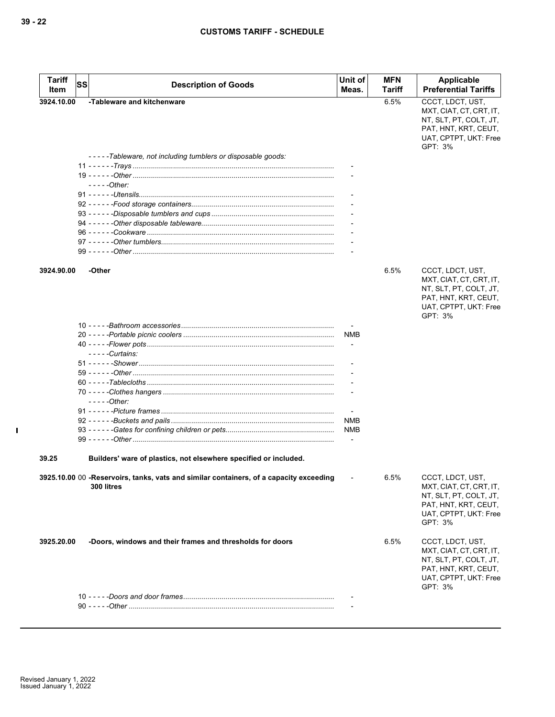| <b>Tariff</b><br>Item | <b>SS</b> | <b>Description of Goods</b>                                                            | Unit of<br>Meas. | <b>MFN</b><br>Tariff | Applicable<br><b>Preferential Tariffs</b>         |
|-----------------------|-----------|----------------------------------------------------------------------------------------|------------------|----------------------|---------------------------------------------------|
| 3924.10.00            |           | -Tableware and kitchenware                                                             |                  | 6.5%                 | CCCT, LDCT, UST,                                  |
|                       |           |                                                                                        |                  |                      | MXT, CIAT, CT, CRT, IT,                           |
|                       |           |                                                                                        |                  |                      | NT, SLT, PT, COLT, JT,<br>PAT, HNT, KRT, CEUT,    |
|                       |           |                                                                                        |                  |                      | UAT, CPTPT, UKT: Free                             |
|                       |           |                                                                                        |                  |                      | GPT: 3%                                           |
|                       |           | -----Tableware, not including tumblers or disposable goods:                            |                  |                      |                                                   |
|                       |           |                                                                                        |                  |                      |                                                   |
|                       |           |                                                                                        |                  |                      |                                                   |
|                       |           | $---Other$                                                                             |                  |                      |                                                   |
|                       |           |                                                                                        |                  |                      |                                                   |
|                       |           |                                                                                        |                  |                      |                                                   |
|                       |           |                                                                                        |                  |                      |                                                   |
|                       |           |                                                                                        |                  |                      |                                                   |
|                       |           |                                                                                        |                  |                      |                                                   |
|                       |           |                                                                                        |                  |                      |                                                   |
|                       |           |                                                                                        |                  |                      |                                                   |
| 3924.90.00            |           | -Other                                                                                 |                  | 6.5%                 | CCCT, LDCT, UST,                                  |
|                       |           |                                                                                        |                  |                      | MXT, CIAT, CT, CRT, IT,<br>NT, SLT, PT, COLT, JT, |
|                       |           |                                                                                        |                  |                      | PAT, HNT, KRT, CEUT,                              |
|                       |           |                                                                                        |                  |                      | UAT, CPTPT, UKT: Free                             |
|                       |           |                                                                                        |                  |                      | GPT: 3%                                           |
|                       |           |                                                                                        |                  |                      |                                                   |
|                       |           |                                                                                        | <b>NMB</b>       |                      |                                                   |
|                       |           |                                                                                        |                  |                      |                                                   |
|                       |           | - - - - - Curtains:                                                                    |                  |                      |                                                   |
|                       |           |                                                                                        |                  |                      |                                                   |
|                       |           |                                                                                        |                  |                      |                                                   |
|                       |           |                                                                                        |                  |                      |                                                   |
|                       |           | $---Other:$                                                                            |                  |                      |                                                   |
|                       |           |                                                                                        |                  |                      |                                                   |
|                       |           |                                                                                        | <b>NMB</b>       |                      |                                                   |
|                       |           |                                                                                        | NMB              |                      |                                                   |
|                       |           |                                                                                        |                  |                      |                                                   |
|                       |           |                                                                                        |                  |                      |                                                   |
| 39.25                 |           | Builders' ware of plastics, not elsewhere specified or included.                       |                  |                      |                                                   |
|                       |           | 3925.10.00 00 -Reservoirs, tanks, vats and similar containers, of a capacity exceeding |                  | 6.5%                 | CCCT, LDCT, UST,                                  |
|                       |           | 300 litres                                                                             |                  |                      | MXT, CIAT, CT, CRT, IT,                           |
|                       |           |                                                                                        |                  |                      | NT, SLT, PT, COLT, JT,                            |
|                       |           |                                                                                        |                  |                      | PAT, HNT, KRT, CEUT,                              |
|                       |           |                                                                                        |                  |                      | UAT, CPTPT, UKT: Free<br>GPT: 3%                  |
|                       |           |                                                                                        |                  |                      |                                                   |
| 3925.20.00            |           | -Doors, windows and their frames and thresholds for doors                              |                  | 6.5%                 | CCCT, LDCT, UST,                                  |
|                       |           |                                                                                        |                  |                      | MXT, CIAT, CT, CRT, IT,                           |
|                       |           |                                                                                        |                  |                      | NT, SLT, PT, COLT, JT,                            |
|                       |           |                                                                                        |                  |                      | PAT, HNT, KRT, CEUT,                              |
|                       |           |                                                                                        |                  |                      | UAT, CPTPT, UKT: Free<br>GPT: 3%                  |
|                       |           |                                                                                        |                  |                      |                                                   |
|                       |           |                                                                                        |                  |                      |                                                   |
|                       |           |                                                                                        |                  |                      |                                                   |

 $\mathbf I$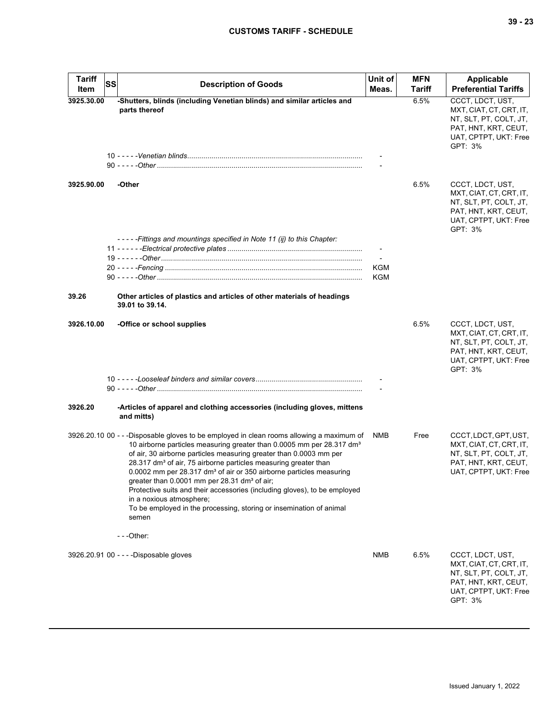| <b>Tariff</b><br>Item | <b>SS</b> | <b>Description of Goods</b>                                                                                                                                                                                                                                                                                                                                                                                                                                                                                                                                                                                                                                                | Unit of<br>Meas.         | <b>MFN</b><br>Tariff | Applicable<br><b>Preferential Tariffs</b>                                                                                         |
|-----------------------|-----------|----------------------------------------------------------------------------------------------------------------------------------------------------------------------------------------------------------------------------------------------------------------------------------------------------------------------------------------------------------------------------------------------------------------------------------------------------------------------------------------------------------------------------------------------------------------------------------------------------------------------------------------------------------------------------|--------------------------|----------------------|-----------------------------------------------------------------------------------------------------------------------------------|
| 3925.30.00            |           | -Shutters, blinds (including Venetian blinds) and similar articles and<br>parts thereof                                                                                                                                                                                                                                                                                                                                                                                                                                                                                                                                                                                    |                          | 6.5%                 | CCCT, LDCT, UST,<br>MXT, CIAT, CT, CRT, IT,<br>NT, SLT, PT, COLT, JT,<br>PAT, HNT, KRT, CEUT,<br>UAT, CPTPT, UKT: Free<br>GPT: 3% |
|                       |           |                                                                                                                                                                                                                                                                                                                                                                                                                                                                                                                                                                                                                                                                            |                          |                      |                                                                                                                                   |
| 3925.90.00            |           | -Other                                                                                                                                                                                                                                                                                                                                                                                                                                                                                                                                                                                                                                                                     |                          | 6.5%                 | CCCT, LDCT, UST,<br>MXT, CIAT, CT, CRT, IT,<br>NT, SLT, PT, COLT, JT,<br>PAT, HNT, KRT, CEUT,<br>UAT, CPTPT, UKT: Free<br>GPT: 3% |
|                       |           | -----Fittings and mountings specified in Note 11 (ij) to this Chapter:                                                                                                                                                                                                                                                                                                                                                                                                                                                                                                                                                                                                     |                          |                      |                                                                                                                                   |
|                       |           |                                                                                                                                                                                                                                                                                                                                                                                                                                                                                                                                                                                                                                                                            | $\overline{\phantom{a}}$ |                      |                                                                                                                                   |
|                       |           |                                                                                                                                                                                                                                                                                                                                                                                                                                                                                                                                                                                                                                                                            | KGM                      |                      |                                                                                                                                   |
|                       |           |                                                                                                                                                                                                                                                                                                                                                                                                                                                                                                                                                                                                                                                                            | KGM                      |                      |                                                                                                                                   |
| 39.26                 |           | Other articles of plastics and articles of other materials of headings<br>39.01 to 39.14.                                                                                                                                                                                                                                                                                                                                                                                                                                                                                                                                                                                  |                          |                      |                                                                                                                                   |
| 3926.10.00            |           | -Office or school supplies                                                                                                                                                                                                                                                                                                                                                                                                                                                                                                                                                                                                                                                 |                          | 6.5%                 | CCCT, LDCT, UST,<br>MXT, CIAT, CT, CRT, IT,<br>NT, SLT, PT, COLT, JT,<br>PAT, HNT, KRT, CEUT,<br>UAT, CPTPT, UKT: Free<br>GPT: 3% |
|                       |           |                                                                                                                                                                                                                                                                                                                                                                                                                                                                                                                                                                                                                                                                            |                          |                      |                                                                                                                                   |
| 3926.20               |           | -Articles of apparel and clothing accessories (including gloves, mittens<br>and mitts)                                                                                                                                                                                                                                                                                                                                                                                                                                                                                                                                                                                     |                          |                      |                                                                                                                                   |
|                       |           | 3926.20.10 00 - - -Disposable gloves to be employed in clean rooms allowing a maximum of<br>10 airborne particles measuring greater than 0.0005 mm per 28.317 dm <sup>3</sup><br>of air, 30 airborne particles measuring greater than 0.0003 mm per<br>28.317 dm <sup>3</sup> of air, 75 airborne particles measuring greater than<br>0.0002 mm per 28.317 dm <sup>3</sup> of air or 350 airborne particles measuring<br>greater than 0.0001 mm per 28.31 dm <sup>3</sup> of air;<br>Protective suits and their accessories (including gloves), to be employed<br>in a noxious atmosphere;<br>To be employed in the processing, storing or insemination of animal<br>semen | NMB                      | Free                 | CCCT, LDCT, GPT, UST,<br>MXT, CIAT, CT, CRT, IT,<br>NT, SLT, PT, COLT, JT,<br>PAT, HNT, KRT, CEUT,<br>UAT, CPTPT, UKT: Free       |
|                       |           | ---Other:                                                                                                                                                                                                                                                                                                                                                                                                                                                                                                                                                                                                                                                                  |                          |                      |                                                                                                                                   |
|                       |           | 3926.20.91 00 - - - - Disposable gloves                                                                                                                                                                                                                                                                                                                                                                                                                                                                                                                                                                                                                                    | <b>NMB</b>               | 6.5%                 | CCCT, LDCT, UST,<br>MXT, CIAT, CT, CRT, IT,<br>NT, SLT, PT, COLT, JT,<br>PAT, HNT, KRT, CEUT,<br>UAT, CPTPT, UKT: Free<br>GPT: 3% |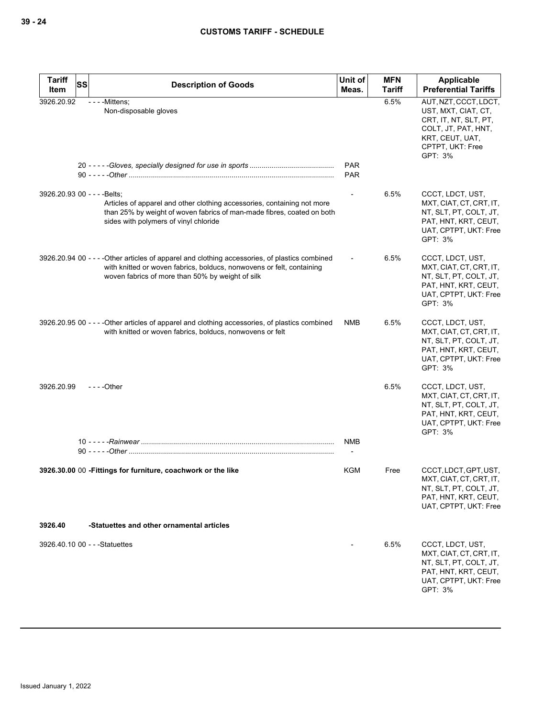| <b>Tariff</b><br><b>SS</b>     |                                                                                                                                                                                                                             | Unit of                  | <b>MFN</b>    | Applicable                                                                                                                                     |
|--------------------------------|-----------------------------------------------------------------------------------------------------------------------------------------------------------------------------------------------------------------------------|--------------------------|---------------|------------------------------------------------------------------------------------------------------------------------------------------------|
| Item                           | <b>Description of Goods</b>                                                                                                                                                                                                 | Meas.                    | <b>Tariff</b> | <b>Preferential Tariffs</b>                                                                                                                    |
| 3926.20.92                     | - - - - Mittens;<br>Non-disposable gloves                                                                                                                                                                                   | <b>PAR</b><br><b>PAR</b> | 6.5%          | AUT, NZT, CCCT, LDCT,<br>UST, MXT, CIAT, CT,<br>CRT, IT, NT, SLT, PT,<br>COLT, JT, PAT, HNT,<br>KRT, CEUT, UAT,<br>CPTPT, UKT: Free<br>GPT: 3% |
| 3926.20.93 00 - - - - Belts:   | Articles of apparel and other clothing accessories, containing not more<br>than 25% by weight of woven fabrics of man-made fibres, coated on both<br>sides with polymers of vinyl chloride                                  | $\overline{\phantom{a}}$ | 6.5%          | CCCT, LDCT, UST,<br>MXT, CIAT, CT, CRT, IT,<br>NT, SLT, PT, COLT, JT,<br>PAT, HNT, KRT, CEUT,<br>UAT, CPTPT, UKT: Free<br>GPT: 3%              |
|                                | 3926.20.94 00 - - - - Other articles of apparel and clothing accessories, of plastics combined<br>with knitted or woven fabrics, bolducs, nonwovens or felt, containing<br>woven fabrics of more than 50% by weight of silk |                          | 6.5%          | CCCT, LDCT, UST,<br>MXT, CIAT, CT, CRT, IT,<br>NT, SLT, PT, COLT, JT,<br>PAT, HNT, KRT, CEUT,<br>UAT, CPTPT, UKT: Free<br>GPT: 3%              |
|                                | 3926.20.95 00 - - - - Other articles of apparel and clothing accessories, of plastics combined<br>with knitted or woven fabrics, bolducs, nonwovens or felt                                                                 | <b>NMB</b>               | 6.5%          | CCCT, LDCT, UST,<br>MXT, CIAT, CT, CRT, IT,<br>NT, SLT, PT, COLT, JT,<br>PAT, HNT, KRT, CEUT,<br>UAT, CPTPT, UKT: Free<br>GPT: 3%              |
| 3926.20.99                     | $--$ Other                                                                                                                                                                                                                  |                          | 6.5%          | CCCT, LDCT, UST,<br>MXT, CIAT, CT, CRT, IT,<br>NT, SLT, PT, COLT, JT,<br>PAT, HNT, KRT, CEUT,<br>UAT, CPTPT, UKT: Free<br>GPT: 3%              |
|                                |                                                                                                                                                                                                                             | NMB                      |               |                                                                                                                                                |
|                                | 3926.30.00 00 - Fittings for furniture, coachwork or the like                                                                                                                                                               | KGM                      | Free          | CCCT, LDCT, GPT, UST,<br>MXT, CIAT, CT, CRT, IT,<br>NT, SLT, PT, COLT, JT,<br>PAT, HNT, KRT, CEUT,<br>UAT, CPTPT, UKT: Free                    |
| 3926.40                        | -Statuettes and other ornamental articles                                                                                                                                                                                   |                          |               |                                                                                                                                                |
| 3926.40.10 00 - - - Statuettes |                                                                                                                                                                                                                             |                          | 6.5%          | CCCT, LDCT, UST,<br>MXT, CIAT, CT, CRT, IT,<br>NT, SLT, PT, COLT, JT,<br>PAT, HNT, KRT, CEUT,<br>UAT, CPTPT, UKT: Free<br>GPT: 3%              |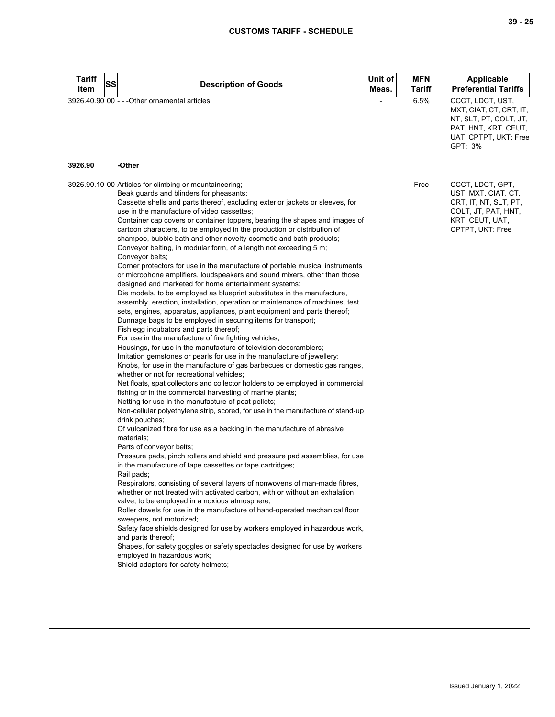| <b>Tariff</b><br><b>SS</b><br>Item | <b>Description of Goods</b>                                                                                                                                                                                                                                                                                                                                                                                                                                                                                                                                                                                                                                                                                                                                                                                                                                                                                                                                                                                                                                                                                                                                                                                                                                                                                                                                                                                                                                                                                                                                                                                                                                                                                                                                                                                                                                                                                                                                                                                                                                                                                                                                                                                                                                                                                                                                                                                                                                                                                                                                                                                                                    | Unit of<br>Meas. | <b>MFN</b><br>Tariff | Applicable<br><b>Preferential Tariffs</b>                                                                                         |
|------------------------------------|------------------------------------------------------------------------------------------------------------------------------------------------------------------------------------------------------------------------------------------------------------------------------------------------------------------------------------------------------------------------------------------------------------------------------------------------------------------------------------------------------------------------------------------------------------------------------------------------------------------------------------------------------------------------------------------------------------------------------------------------------------------------------------------------------------------------------------------------------------------------------------------------------------------------------------------------------------------------------------------------------------------------------------------------------------------------------------------------------------------------------------------------------------------------------------------------------------------------------------------------------------------------------------------------------------------------------------------------------------------------------------------------------------------------------------------------------------------------------------------------------------------------------------------------------------------------------------------------------------------------------------------------------------------------------------------------------------------------------------------------------------------------------------------------------------------------------------------------------------------------------------------------------------------------------------------------------------------------------------------------------------------------------------------------------------------------------------------------------------------------------------------------------------------------------------------------------------------------------------------------------------------------------------------------------------------------------------------------------------------------------------------------------------------------------------------------------------------------------------------------------------------------------------------------------------------------------------------------------------------------------------------------|------------------|----------------------|-----------------------------------------------------------------------------------------------------------------------------------|
|                                    | 3926.40.90 00 - - - Other ornamental articles                                                                                                                                                                                                                                                                                                                                                                                                                                                                                                                                                                                                                                                                                                                                                                                                                                                                                                                                                                                                                                                                                                                                                                                                                                                                                                                                                                                                                                                                                                                                                                                                                                                                                                                                                                                                                                                                                                                                                                                                                                                                                                                                                                                                                                                                                                                                                                                                                                                                                                                                                                                                  |                  | 6.5%                 | CCCT, LDCT, UST,<br>MXT, CIAT, CT, CRT, IT,<br>NT, SLT, PT, COLT, JT,<br>PAT, HNT, KRT, CEUT,<br>UAT, CPTPT, UKT: Free<br>GPT: 3% |
| 3926.90                            | -Other                                                                                                                                                                                                                                                                                                                                                                                                                                                                                                                                                                                                                                                                                                                                                                                                                                                                                                                                                                                                                                                                                                                                                                                                                                                                                                                                                                                                                                                                                                                                                                                                                                                                                                                                                                                                                                                                                                                                                                                                                                                                                                                                                                                                                                                                                                                                                                                                                                                                                                                                                                                                                                         |                  |                      |                                                                                                                                   |
|                                    | 3926.90.10 00 Articles for climbing or mountaineering;<br>Beak guards and blinders for pheasants;<br>Cassette shells and parts thereof, excluding exterior jackets or sleeves, for<br>use in the manufacture of video cassettes;<br>Container cap covers or container toppers, bearing the shapes and images of<br>cartoon characters, to be employed in the production or distribution of<br>shampoo, bubble bath and other novelty cosmetic and bath products;<br>Conveyor belting, in modular form, of a length not exceeding 5 m;<br>Conveyor belts;<br>Corner protectors for use in the manufacture of portable musical instruments<br>or microphone amplifiers, loudspeakers and sound mixers, other than those<br>designed and marketed for home entertainment systems;<br>Die models, to be employed as blueprint substitutes in the manufacture,<br>assembly, erection, installation, operation or maintenance of machines, test<br>sets, engines, apparatus, appliances, plant equipment and parts thereof;<br>Dunnage bags to be employed in securing items for transport;<br>Fish egg incubators and parts thereof;<br>For use in the manufacture of fire fighting vehicles;<br>Housings, for use in the manufacture of television descramblers;<br>Imitation gemstones or pearls for use in the manufacture of jewellery;<br>Knobs, for use in the manufacture of gas barbecues or domestic gas ranges,<br>whether or not for recreational vehicles;<br>Net floats, spat collectors and collector holders to be employed in commercial<br>fishing or in the commercial harvesting of marine plants;<br>Netting for use in the manufacture of peat pellets;<br>Non-cellular polyethylene strip, scored, for use in the manufacture of stand-up<br>drink pouches;<br>Of vulcanized fibre for use as a backing in the manufacture of abrasive<br>materials;<br>Parts of conveyor belts;<br>Pressure pads, pinch rollers and shield and pressure pad assemblies, for use<br>in the manufacture of tape cassettes or tape cartridges;<br>Rail pads;<br>Respirators, consisting of several layers of nonwovens of man-made fibres,<br>whether or not treated with activated carbon, with or without an exhalation<br>valve, to be employed in a noxious atmosphere;<br>Roller dowels for use in the manufacture of hand-operated mechanical floor<br>sweepers, not motorized;<br>Safety face shields designed for use by workers employed in hazardous work,<br>and parts thereof;<br>Shapes, for safety goggles or safety spectacles designed for use by workers<br>employed in hazardous work;<br>Shield adaptors for safety helmets; |                  | Free                 | CCCT, LDCT, GPT,<br>UST, MXT, CIAT, CT,<br>CRT, IT, NT, SLT, PT,<br>COLT, JT, PAT, HNT,<br>KRT, CEUT, UAT,<br>CPTPT, UKT: Free    |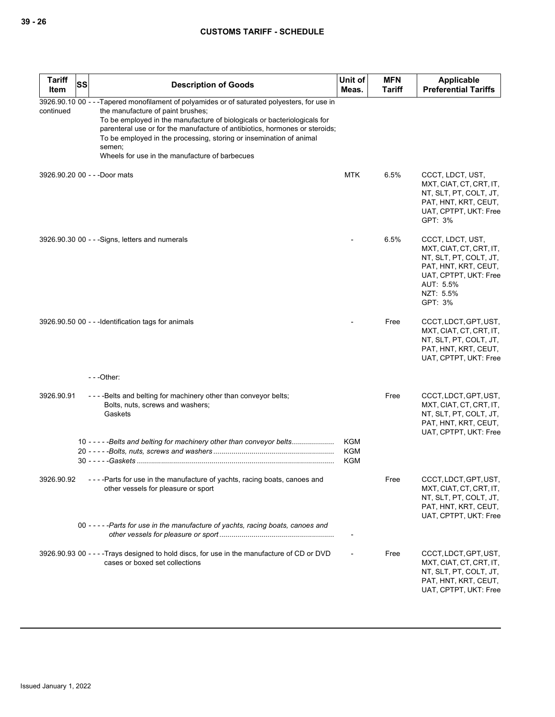| <b>Tariff</b><br><b>SS</b><br>Item | <b>Description of Goods</b>                                                                                                                                                                                                                                                                                                                                                                                                      | Unit of<br>Meas.                       | <b>MFN</b><br><b>Tariff</b> | Applicable<br><b>Preferential Tariffs</b>                                                                                                                   |
|------------------------------------|----------------------------------------------------------------------------------------------------------------------------------------------------------------------------------------------------------------------------------------------------------------------------------------------------------------------------------------------------------------------------------------------------------------------------------|----------------------------------------|-----------------------------|-------------------------------------------------------------------------------------------------------------------------------------------------------------|
| continued                          | 3926.90.10 00 - - - Tapered monofilament of polyamides or of saturated polyesters, for use in<br>the manufacture of paint brushes;<br>To be employed in the manufacture of biologicals or bacteriologicals for<br>parenteral use or for the manufacture of antibiotics, hormones or steroids;<br>To be employed in the processing, storing or insemination of animal<br>semen;<br>Wheels for use in the manufacture of barbecues |                                        |                             |                                                                                                                                                             |
| 3926.90.20 00 - - - Door mats      |                                                                                                                                                                                                                                                                                                                                                                                                                                  | <b>MTK</b>                             | 6.5%                        | CCCT, LDCT, UST,<br>MXT, CIAT, CT, CRT, IT,<br>NT, SLT, PT, COLT, JT,<br>PAT, HNT, KRT, CEUT,<br>UAT, CPTPT, UKT: Free<br>GPT: 3%                           |
|                                    | 3926.90.30 00 - - - Signs, letters and numerals                                                                                                                                                                                                                                                                                                                                                                                  |                                        | 6.5%                        | CCCT, LDCT, UST,<br>MXT, CIAT, CT, CRT, IT,<br>NT, SLT, PT, COLT, JT,<br>PAT, HNT, KRT, CEUT,<br>UAT, CPTPT, UKT: Free<br>AUT: 5.5%<br>NZT: 5.5%<br>GPT: 3% |
|                                    | 3926.90.50 00 - - - Identification tags for animals                                                                                                                                                                                                                                                                                                                                                                              |                                        | Free                        | CCCT, LDCT, GPT, UST,<br>MXT, CIAT, CT, CRT, IT,<br>NT, SLT, PT, COLT, JT,<br>PAT, HNT, KRT, CEUT,<br>UAT, CPTPT, UKT: Free                                 |
|                                    | $--$ Other:                                                                                                                                                                                                                                                                                                                                                                                                                      |                                        |                             |                                                                                                                                                             |
| 3926.90.91                         | ----Belts and belting for machinery other than conveyor belts;<br>Bolts, nuts, screws and washers;<br>Gaskets<br>10 -----Belts and belting for machinery other than conveyor belts                                                                                                                                                                                                                                               | <b>KGM</b><br><b>KGM</b><br><b>KGM</b> | Free                        | CCCT, LDCT, GPT, UST,<br>MXT, CIAT, CT, CRT, IT,<br>NT, SLT, PT, COLT, JT,<br>PAT, HNT, KRT, CEUT,<br>UAT, CPTPT, UKT: Free                                 |
| 3926.90.92                         | - - - - Parts for use in the manufacture of yachts, racing boats, canoes and<br>other vessels for pleasure or sport                                                                                                                                                                                                                                                                                                              |                                        | Free                        | CCCT, LDCT, GPT, UST,<br>MXT, CIAT, CT, CRT, IT,<br>NT, SLT, PT, COLT, JT,<br>PAT, HNT, KRT, CEUT,<br>UAT, CPTPT, UKT: Free                                 |
|                                    | 00 ----- Parts for use in the manufacture of yachts, racing boats, canoes and                                                                                                                                                                                                                                                                                                                                                    |                                        |                             |                                                                                                                                                             |
|                                    | 3926.90.93 00 - - - - Trays designed to hold discs, for use in the manufacture of CD or DVD<br>cases or boxed set collections                                                                                                                                                                                                                                                                                                    |                                        | Free                        | CCCT, LDCT, GPT, UST,<br>MXT, CIAT, CT, CRT, IT,<br>NT, SLT, PT, COLT, JT,<br>PAT, HNT, KRT, CEUT,<br>UAT, CPTPT, UKT: Free                                 |